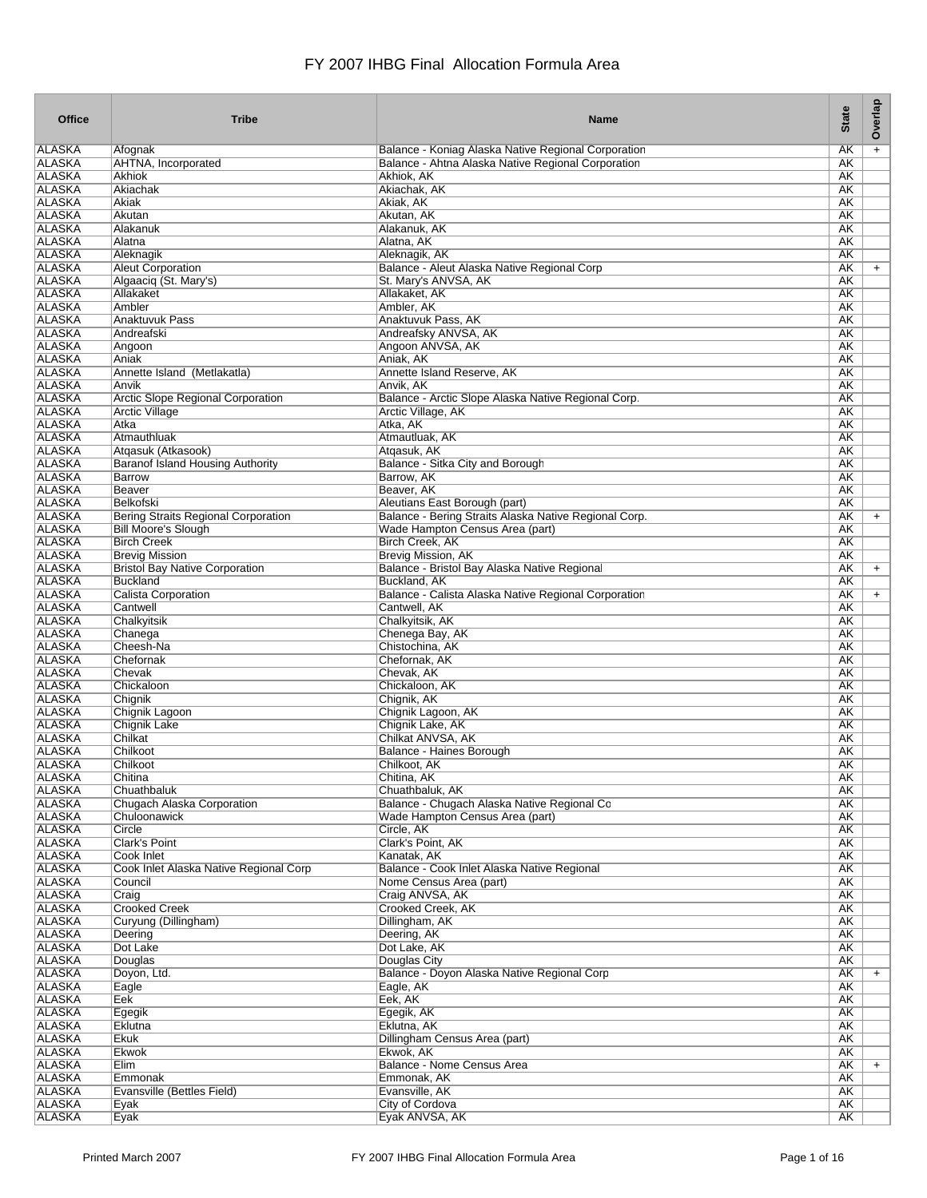| <b>Office</b>                  | <b>Tribe</b>                                                             | <b>Name</b>                                                                              | <b>State</b>    | Overlap   |
|--------------------------------|--------------------------------------------------------------------------|------------------------------------------------------------------------------------------|-----------------|-----------|
| ALASKA                         | Afognak                                                                  | Balance - Koniag Alaska Native Regional Corporation                                      | AΚ              | $\ddot{}$ |
| <b>ALASKA</b>                  | <b>AHTNA, Incorporated</b>                                               | Balance - Ahtna Alaska Native Regional Corporation                                       | AK              |           |
| <b>ALASKA</b>                  | <b>Akhiok</b>                                                            | Akhiok, AK                                                                               | AK              |           |
| <b>ALASKA</b>                  | Akiachak                                                                 | Akiachak, AK                                                                             | AK              |           |
| <b>ALASKA</b><br><b>ALASKA</b> | Akiak<br>Akutan                                                          | Akiak, AK<br>Akutan, AK                                                                  | <b>AK</b><br>AK |           |
| <b>ALASKA</b>                  | Alakanuk                                                                 | Alakanuk, AK                                                                             | <b>AK</b>       |           |
| <b>ALASKA</b>                  | Alatna                                                                   | Alatna, AK                                                                               | AK              |           |
| <b>ALASKA</b>                  | Aleknagik                                                                | Aleknagik, AK                                                                            | AK              |           |
| <b>ALASKA</b>                  | <b>Aleut Corporation</b>                                                 | Balance - Aleut Alaska Native Regional Corp                                              | AK              | $+$       |
| <b>ALASKA</b>                  | Algaaciq (St. Mary's)                                                    | St. Mary's ANVSA, AK                                                                     | <b>AK</b>       |           |
| <b>ALASKA</b><br><b>ALASKA</b> | Allakaket<br>Ambler                                                      | Allakaket, AK                                                                            | AK              |           |
| <b>ALASKA</b>                  | Anaktuvuk Pass                                                           | Ambler, AK<br>Anaktuvuk Pass, AK                                                         | AK<br><b>AK</b> |           |
| <b>ALASKA</b>                  | Andreafski                                                               | Andreafsky ANVSA, AK                                                                     | AK              |           |
| <b>ALASKA</b>                  | Angoon                                                                   | Angoon ANVSA, AK                                                                         | AK              |           |
| <b>ALASKA</b>                  | Aniak                                                                    | Aniak, AK                                                                                | AK              |           |
| <b>ALASKA</b>                  | Annette Island (Metlakatla)                                              | Annette Island Reserve, AK                                                               | <b>AK</b>       |           |
| <b>ALASKA</b>                  | Anvik                                                                    | Anvik, AK                                                                                | AK              |           |
| <b>ALASKA</b><br><b>ALASKA</b> | Arctic Slope Regional Corporation                                        | Balance - Arctic Slope Alaska Native Regional Corp.                                      | AK<br><b>AK</b> |           |
| <b>ALASKA</b>                  | <b>Arctic Village</b><br>Atka                                            | Arctic Village, AK<br>Atka, AK                                                           | <b>AK</b>       |           |
| <b>ALASKA</b>                  | Atmauthluak                                                              | Atmautluak, AK                                                                           | <b>AK</b>       |           |
| <b>ALASKA</b>                  | Atgasuk (Atkasook)                                                       | Atgasuk, AK                                                                              | <b>AK</b>       |           |
| <b>ALASKA</b>                  | Baranof Island Housing Authority                                         | Balance - Sitka City and Borough                                                         | AK              |           |
| <b>ALASKA</b>                  | Barrow                                                                   | Barrow, AK                                                                               | AK              |           |
| <b>ALASKA</b>                  | Beaver                                                                   | Beaver, AK                                                                               | AK              |           |
| <b>ALASKA</b>                  | Belkofski                                                                | Aleutians East Borough (part)                                                            | AK              |           |
| <b>ALASKA</b><br><b>ALASKA</b> | <b>Bering Straits Regional Corporation</b><br><b>Bill Moore's Slough</b> | Balance - Bering Straits Alaska Native Regional Corp.<br>Wade Hampton Census Area (part) | AΚ<br>AK        | $+$       |
| <b>ALASKA</b>                  | <b>Birch Creek</b>                                                       | <b>Birch Creek, AK</b>                                                                   | AK              |           |
| <b>ALASKA</b>                  | <b>Brevig Mission</b>                                                    | <b>Brevig Mission, AK</b>                                                                | <b>AK</b>       |           |
| <b>ALASKA</b>                  | <b>Bristol Bay Native Corporation</b>                                    | Balance - Bristol Bay Alaska Native Regional                                             | AΚ              | $+$       |
| <b>ALASKA</b>                  | <b>Buckland</b>                                                          | Buckland, AK                                                                             | AK              |           |
| <b>ALASKA</b>                  | <b>Calista Corporation</b>                                               | Balance - Calista Alaska Native Regional Corporation                                     | AK              | $+$       |
| <b>ALASKA</b>                  | Cantwell                                                                 | Cantwell, AK                                                                             | AK              |           |
| <b>ALASKA</b><br><b>ALASKA</b> | Chalkyitsik<br>Chanega                                                   | Chalkyitsik, AK<br>Chenega Bay, AK                                                       | AK<br>AK        |           |
| <b>ALASKA</b>                  | Cheesh-Na                                                                | Chistochina, AK                                                                          | <b>AK</b>       |           |
| <b>ALASKA</b>                  | Chefornak                                                                | Chefornak, AK                                                                            | AK              |           |
| <b>ALASKA</b>                  | Chevak                                                                   | Chevak, AK                                                                               | AK              |           |
| <b>ALASKA</b>                  | Chickaloon                                                               | Chickaloon, AK                                                                           | AK              |           |
| <b>ALASKA</b>                  | Chignik                                                                  | Chignik, AK                                                                              | <b>AK</b>       |           |
| <b>ALASKA</b><br><b>ALASKA</b> | Chignik Lagoon<br><b>Chignik Lake</b>                                    | Chignik Lagoon, AK<br>Chignik Lake, AK                                                   | AK              |           |
| <b>ALASKA</b>                  | Chilkat                                                                  | Chilkat ANVSA, AK                                                                        | AΚ<br>AK        |           |
| <b>ALASKA</b>                  | Chilkoot                                                                 | Balance - Haines Borough                                                                 | AK              |           |
| <b>ALASKA</b>                  | Chilkoot                                                                 | Chilkoot, AK                                                                             | AK              |           |
| ALASKA                         | Chitina                                                                  | Chitina, AK                                                                              | AK              |           |
| <b>ALASKA</b>                  | Chuathbaluk                                                              | Chuathbaluk, AK                                                                          | AΚ              |           |
| <b>ALASKA</b>                  | Chugach Alaska Corporation                                               | Balance - Chugach Alaska Native Regional Co                                              | AK              |           |
| <b>ALASKA</b><br><b>ALASKA</b> | Chuloonawick<br>Circle                                                   | Wade Hampton Census Area (part)<br>Circle, AK                                            | AK<br>AK        |           |
| <b>ALASKA</b>                  | Clark's Point                                                            | Clark's Point, AK                                                                        | AK              |           |
| <b>ALASKA</b>                  | Cook Inlet                                                               | Kanatak, AK                                                                              | AK              |           |
| <b>ALASKA</b>                  | Cook Inlet Alaska Native Regional Corp                                   | Balance - Cook Inlet Alaska Native Regional                                              | AK              |           |
| <b>ALASKA</b>                  | Council                                                                  | Nome Census Area (part)                                                                  | AK              |           |
| <b>ALASKA</b>                  | Craig                                                                    | Craig ANVSA, AK                                                                          | AK              |           |
| <b>ALASKA</b><br><b>ALASKA</b> | <b>Crooked Creek</b><br>Curyung (Dillingham)                             | Crooked Creek, AK                                                                        | AK<br>AK        |           |
| <b>ALASKA</b>                  | Deering                                                                  | Dillingham, AK<br>Deering, AK                                                            | AK              |           |
| <b>ALASKA</b>                  | Dot Lake                                                                 | Dot Lake, AK                                                                             | AK              |           |
| <b>ALASKA</b>                  | Douglas                                                                  | Douglas City                                                                             | AK              |           |
| <b>ALASKA</b>                  | Doyon, Ltd.                                                              | Balance - Doyon Alaska Native Regional Corp                                              | AK              | $+$       |
| <b>ALASKA</b>                  | Eagle                                                                    | Eagle, AK                                                                                | AK              |           |
| <b>ALASKA</b>                  | Eek                                                                      | Eek, AK                                                                                  | AK              |           |
| <b>ALASKA</b><br><b>ALASKA</b> | Egegik                                                                   | Egegik, AK                                                                               | AK<br>AK        |           |
| <b>ALASKA</b>                  | Eklutna<br>Ekuk                                                          | Eklutna, AK<br>Dillingham Census Area (part)                                             | AK              |           |
| <b>ALASKA</b>                  | Ekwok                                                                    | Ekwok, AK                                                                                | AK              |           |
| <b>ALASKA</b>                  | Elim                                                                     | Balance - Nome Census Area                                                               | AK              | $\ddot{}$ |
| <b>ALASKA</b>                  | Emmonak                                                                  | Emmonak, AK                                                                              | AK              |           |
| <b>ALASKA</b>                  | Evansville (Bettles Field)                                               | Evansville, AK                                                                           | AK              |           |
| <b>ALASKA</b>                  | Eyak                                                                     | City of Cordova                                                                          | AK              |           |
| <b>ALASKA</b>                  | Eyak                                                                     | Eyak ANVSA, AK                                                                           | AK              |           |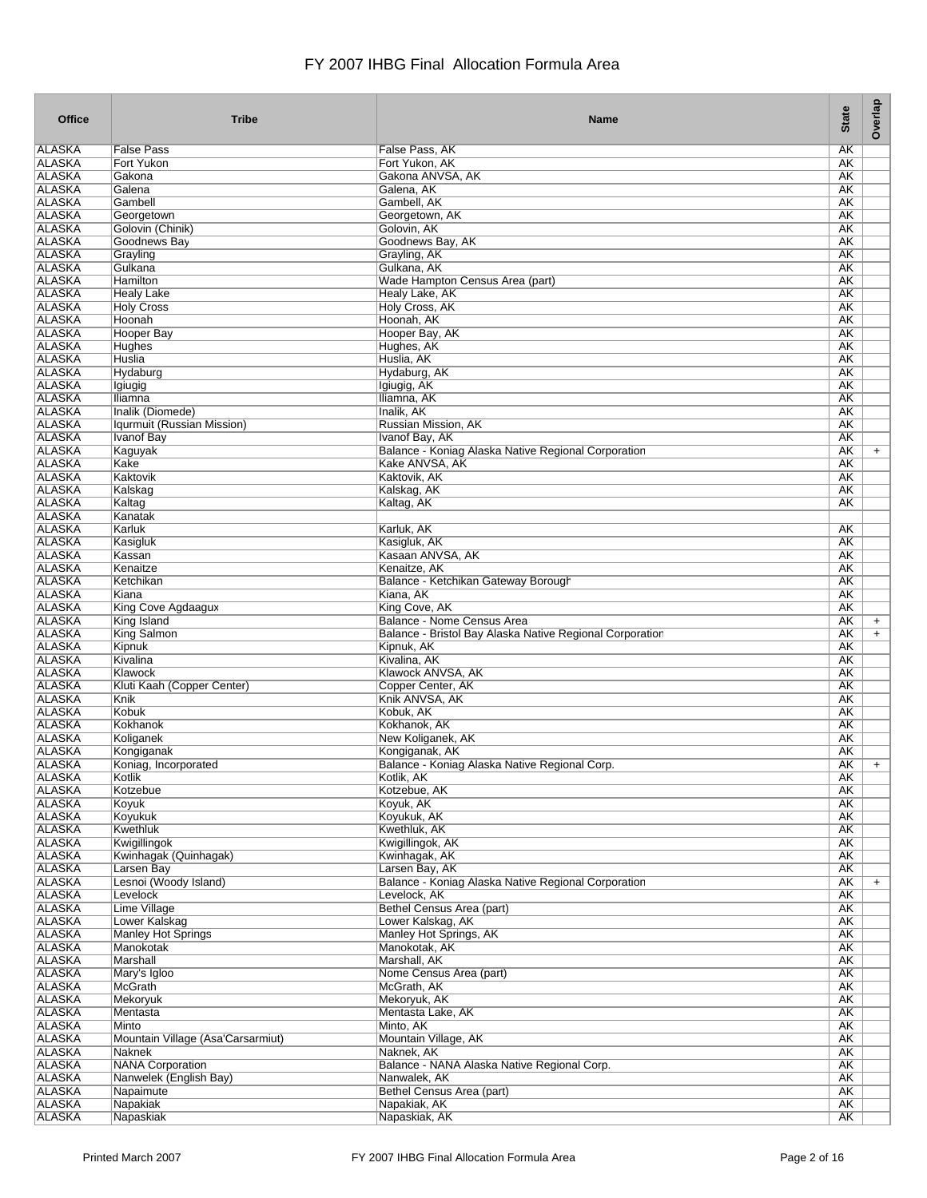| <b>Office</b>                  | <b>Tribe</b>                               | <b>Name</b>                                                            | <b>State</b>           | Overlap   |
|--------------------------------|--------------------------------------------|------------------------------------------------------------------------|------------------------|-----------|
| <b>ALASKA</b>                  | <b>False Pass</b>                          | False Pass, AK                                                         | <b>AK</b>              |           |
| <b>ALASKA</b>                  | Fort Yukon                                 | Fort Yukon, AK                                                         | <b>AK</b>              |           |
| <b>ALASKA</b>                  | Gakona                                     | Gakona ANVSA, AK                                                       | <b>AK</b>              |           |
| <b>ALASKA</b>                  | Galena                                     | Galena, AK                                                             | AΚ                     |           |
| <b>ALASKA</b>                  | Gambell                                    | Gambell, AK                                                            | <b>AK</b>              |           |
| <b>ALASKA</b><br><b>ALASKA</b> | Georgetown                                 | Georgetown, AK<br>Golovin, AK                                          | <b>AK</b><br><b>AK</b> |           |
| <b>ALASKA</b>                  | Golovin (Chinik)<br>Goodnews Bay           | Goodnews Bay, AK                                                       | <b>AK</b>              |           |
| <b>ALASKA</b>                  | Grayling                                   | Grayling, AK                                                           | <b>AK</b>              |           |
| <b>ALASKA</b>                  | Gulkana                                    | Gulkana, AK                                                            | <b>AK</b>              |           |
| <b>ALASKA</b>                  | Hamilton                                   | Wade Hampton Census Area (part)                                        | <b>AK</b>              |           |
| <b>ALASKA</b>                  | <b>Healy Lake</b>                          | <b>Healv Lake, AK</b>                                                  | AK                     |           |
| <b>ALASKA</b>                  | <b>Holy Cross</b>                          | Holy Cross, AK                                                         | AK                     |           |
| <b>ALASKA</b>                  | Hoonah                                     | Hoonah, AK                                                             | <b>AK</b>              |           |
| <b>ALASKA</b>                  | Hooper Bay                                 | Hooper Bay, AK                                                         | <b>AK</b>              |           |
| <b>ALASKA</b>                  | Hughes                                     | Hughes, AK<br>Huslia, AK                                               | <b>AK</b>              |           |
| <b>ALASKA</b><br><b>ALASKA</b> | Huslia<br>Hydaburg                         | Hydaburg, AK                                                           | <b>AK</b><br><b>AK</b> |           |
| <b>ALASKA</b>                  | Igiugig                                    | Igiugig, AK                                                            | <b>AK</b>              |           |
| <b>ALASKA</b>                  | Iliamna                                    | Iliamna, AK                                                            | AK                     |           |
| <b>ALASKA</b>                  | Inalik (Diomede)                           | Inalik, AK                                                             | AΚ                     |           |
| <b>ALASKA</b>                  | Iqurmuit (Russian Mission)                 | Russian Mission, AK                                                    | <b>AK</b>              |           |
| <b>ALASKA</b>                  | Ivanof Bay                                 | Ivanof Bay, AK                                                         | <b>AK</b>              |           |
| <b>ALASKA</b>                  | Kaguyak                                    | Balance - Koniag Alaska Native Regional Corporation                    | AK                     | $+$       |
| <b>ALASKA</b>                  | Kake                                       | Kake ANVSA, AK                                                         | <b>AK</b>              |           |
| <b>ALASKA</b>                  | Kaktovik                                   | Kaktovik, AK                                                           | <b>AK</b>              |           |
| <b>ALASKA</b>                  | Kalskag                                    | Kalskag, AK                                                            | <b>AK</b>              |           |
| <b>ALASKA</b><br><b>ALASKA</b> | Kaltag<br>Kanatak                          | Kaltag, AK                                                             | <b>AK</b>              |           |
| <b>ALASKA</b>                  | Karluk                                     | Karluk, AK                                                             | AK                     |           |
| <b>ALASKA</b>                  | Kasigluk                                   | Kasigluk, AK                                                           | <b>AK</b>              |           |
| <b>ALASKA</b>                  | Kassan                                     | Kasaan ANVSA, AK                                                       | <b>AK</b>              |           |
| <b>ALASKA</b>                  | Kenaitze                                   | Kenaitze, AK                                                           | <b>AK</b>              |           |
| <b>ALASKA</b>                  | Ketchikan                                  | Balance - Ketchikan Gateway Borough                                    | <b>AK</b>              |           |
| <b>ALASKA</b>                  | Kiana                                      | Kiana, AK                                                              | <b>AK</b>              |           |
| <b>ALASKA</b>                  | King Cove Agdaagux                         | King Cove, AK                                                          | <b>AK</b>              |           |
| <b>ALASKA</b>                  | King Island                                | Balance - Nome Census Area                                             | AΚ                     | $+$       |
| <b>ALASKA</b><br><b>ALASKA</b> | <b>King Salmon</b><br>Kipnuk               | Balance - Bristol Bay Alaska Native Regional Corporation<br>Kipnuk, AK | AΚ<br><b>AK</b>        | $\ddot{}$ |
| <b>ALASKA</b>                  | Kivalina                                   | Kivalina, AK                                                           | AK                     |           |
| <b>ALASKA</b>                  | Klawock                                    | Klawock ANVSA, AK                                                      | AΚ                     |           |
| <b>ALASKA</b>                  | Kluti Kaah (Copper Center)                 | Copper Center, AK                                                      | AΚ                     |           |
| <b>ALASKA</b>                  | Knik                                       | Knik ANVSA, AK                                                         | <b>AK</b>              |           |
| <b>ALASKA</b>                  | Kobuk                                      | Kobuk, AK                                                              | <b>AK</b>              |           |
| <b>ALASKA</b>                  | Kokhanok                                   | Kokhanok, AK                                                           | AK                     |           |
| <b>ALASKA</b>                  | Koliganek                                  | New Koliganek, AK                                                      | <b>AK</b>              |           |
| <b>ALASKA</b><br><b>ALASKA</b> | Kongiganak                                 | Kongiganak, AK                                                         | AK<br><b>AK</b>        |           |
| ALASKA                         | Koniag, Incorporated<br>Kotlik             | Balance - Koniag Alaska Native Regional Corp.<br>Kotlik, AK            | AK                     | $\ddot{}$ |
| <b>ALASKA</b>                  | Kotzebue                                   | Kotzebue, AK                                                           | <b>AK</b>              |           |
| <b>ALASKA</b>                  | Koyuk                                      | Koyuk, AK                                                              | AK                     |           |
| <b>ALASKA</b>                  | <b>Koyukuk</b>                             | Koyukuk, AK                                                            | AK                     |           |
| <b>ALASKA</b>                  | Kwethluk                                   | Kwethluk, AK                                                           | AK                     |           |
| <b>ALASKA</b>                  | Kwigillingok                               | Kwigillingok, AK                                                       | AK                     |           |
| <b>ALASKA</b>                  | Kwinhagak (Quinhagak)                      | Kwinhagak, AK                                                          | AK                     |           |
| <b>ALASKA</b>                  | Larsen Bay                                 | Larsen Bay, AK                                                         | AK                     |           |
| <b>ALASKA</b>                  | Lesnoi (Woody Island)<br>Levelock          | Balance - Koniag Alaska Native Regional Corporation                    | AK                     | $+$       |
| <b>ALASKA</b><br><b>ALASKA</b> | Lime Village                               | Levelock, AK<br><b>Bethel Census Area (part)</b>                       | <b>AK</b><br>AK        |           |
| <b>ALASKA</b>                  | Lower Kalskag                              | Lower Kalskag, AK                                                      | AK                     |           |
| <b>ALASKA</b>                  | <b>Manley Hot Springs</b>                  | Manley Hot Springs, AK                                                 | AK                     |           |
| <b>ALASKA</b>                  | Manokotak                                  | Manokotak, AK                                                          | AK                     |           |
| <b>ALASKA</b>                  | Marshall                                   | Marshall, AK                                                           | AK                     |           |
| <b>ALASKA</b>                  | Mary's Igloo                               | Nome Census Area (part)                                                | AK                     |           |
| <b>ALASKA</b>                  | <b>McGrath</b>                             | McGrath, AK                                                            | <b>AK</b>              |           |
| <b>ALASKA</b>                  | Mekoryuk                                   | Mekoryuk, AK                                                           | AK                     |           |
| <b>ALASKA</b>                  | Mentasta                                   | Mentasta Lake, AK                                                      | AK                     |           |
| <b>ALASKA</b><br><b>ALASKA</b> | Minto<br>Mountain Village (Asa'Carsarmiut) | Minto, AK<br>Mountain Village, AK                                      | AK<br>AK               |           |
| <b>ALASKA</b>                  | <b>Naknek</b>                              | Naknek, AK                                                             | AK                     |           |
| <b>ALASKA</b>                  | <b>NANA Corporation</b>                    | Balance - NANA Alaska Native Regional Corp.                            | AK                     |           |
| <b>ALASKA</b>                  | Nanwelek (English Bay)                     | Nanwalek, AK                                                           | AK                     |           |
| <b>ALASKA</b>                  | Napaimute                                  | Bethel Census Area (part)                                              | AK                     |           |
| <b>ALASKA</b>                  | <b>Napakiak</b>                            | Napakiak, AK                                                           | <b>AK</b>              |           |
| <b>ALASKA</b>                  | Napaskiak                                  | Napaskiak, AK                                                          | <b>AK</b>              |           |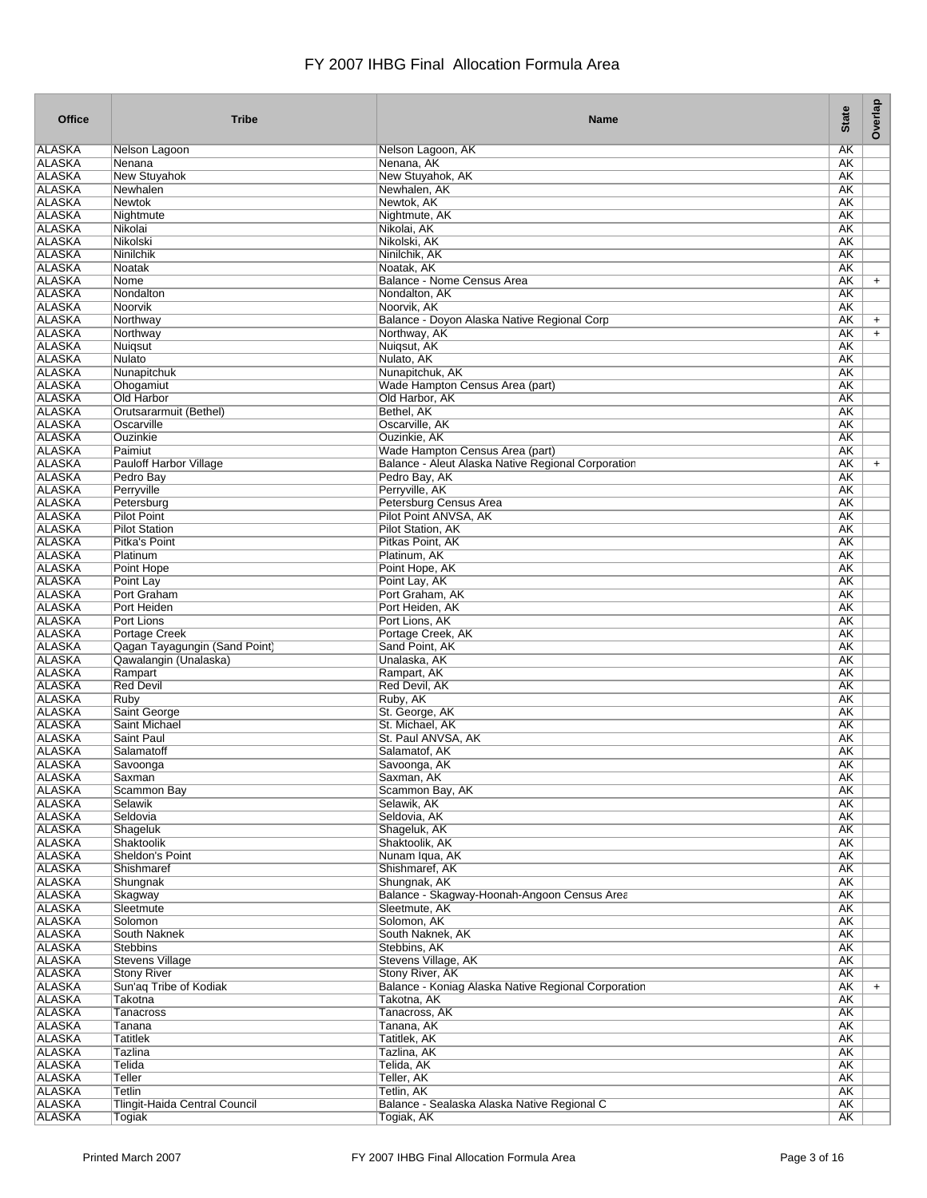| <b>Office</b>                  | <b>Tribe</b>                                 | <b>Name</b>                                         | <b>State</b>           | Overlap   |
|--------------------------------|----------------------------------------------|-----------------------------------------------------|------------------------|-----------|
| <b>ALASKA</b>                  | Nelson Lagoon                                | Nelson Lagoon, AK                                   | <b>AK</b>              |           |
| <b>ALASKA</b>                  | Nenana                                       | Nenana, AK                                          | <b>AK</b>              |           |
| <b>ALASKA</b>                  | <b>New Stuyahok</b>                          | New Stuyahok, AK                                    | AK                     |           |
| <b>ALASKA</b>                  | Newhalen                                     | Newhalen, AK                                        | AK                     |           |
| <b>ALASKA</b>                  | <b>Newtok</b>                                | Newtok, AK                                          | <b>AK</b>              |           |
| <b>ALASKA</b>                  | Nightmute                                    | Nightmute, AK                                       | <b>AK</b>              |           |
| <b>ALASKA</b><br><b>ALASKA</b> | Nikolai<br>Nikolski                          | Nikolai, AK<br>Nikolski, AK                         | <b>AK</b><br><b>AK</b> |           |
| <b>ALASKA</b>                  | <b>Ninilchik</b>                             | Ninilchik, AK                                       | <b>AK</b>              |           |
| <b>ALASKA</b>                  | Noatak                                       | Noatak, AK                                          | <b>AK</b>              |           |
| <b>ALASKA</b>                  | Nome                                         | Balance - Nome Census Area                          | <b>AK</b>              | $\ddot{}$ |
| <b>ALASKA</b>                  | Nondalton                                    | Nondalton, AK                                       | AK                     |           |
| <b>ALASKA</b>                  | Noorvik                                      | Noorvik, AK                                         | AK                     |           |
| <b>ALASKA</b>                  | Northway                                     | Balance - Doyon Alaska Native Regional Corp         | <b>AK</b>              | $+$       |
| <b>ALASKA</b>                  | Northway                                     | Northway, AK                                        | <b>AK</b>              | $+$       |
| <b>ALASKA</b>                  | Nuigsut                                      | Nuigsut, AK                                         | <b>AK</b>              |           |
| <b>ALASKA</b>                  | Nulato                                       | Nulato, AK                                          | AK                     |           |
| <b>ALASKA</b>                  | Nunapitchuk                                  | Nunapitchuk, AK                                     | <b>AK</b>              |           |
| <b>ALASKA</b>                  | Ohogamiut                                    | Wade Hampton Census Area (part)                     | <b>AK</b>              |           |
| <b>ALASKA</b>                  | Old Harbor                                   | Old Harbor, AK                                      | <b>AK</b>              |           |
| <b>ALASKA</b>                  | Orutsararmuit (Bethel)                       | Bethel, AK                                          | <b>AK</b>              |           |
| <b>ALASKA</b>                  | Oscarville                                   | Oscarville, AK                                      | <b>AK</b>              |           |
| <b>ALASKA</b>                  | Ouzinkie                                     | Ouzinkie, AK                                        | <b>AK</b>              |           |
| <b>ALASKA</b>                  | Paimiut                                      | Wade Hampton Census Area (part)                     | <b>AK</b>              |           |
| <b>ALASKA</b><br><b>ALASKA</b> | <b>Pauloff Harbor Village</b>                | Balance - Aleut Alaska Native Regional Corporation  | AK                     | $+$       |
| <b>ALASKA</b>                  | Pedro Bay<br>Perryville                      | Pedro Bay, AK<br>Perryville, AK                     | <b>AK</b><br><b>AK</b> |           |
| <b>ALASKA</b>                  | Petersburg                                   | Petersburg Census Area                              | <b>AK</b>              |           |
| <b>ALASKA</b>                  | <b>Pilot Point</b>                           | Pilot Point ANVSA, AK                               | AK                     |           |
| <b>ALASKA</b>                  | <b>Pilot Station</b>                         | <b>Pilot Station, AK</b>                            | <b>AK</b>              |           |
| <b>ALASKA</b>                  | Pitka's Point                                | Pitkas Point, AK                                    | <b>AK</b>              |           |
| <b>ALASKA</b>                  | Platinum                                     | Platinum, AK                                        | AK                     |           |
| <b>ALASKA</b>                  | Point Hope                                   | Point Hope, AK                                      | <b>AK</b>              |           |
| <b>ALASKA</b>                  | Point Lay                                    | Point Lay, AK                                       | <b>AK</b>              |           |
| <b>ALASKA</b>                  | Port Graham                                  | Port Graham, AK                                     | <b>AK</b>              |           |
| <b>ALASKA</b>                  | Port Heiden                                  | Port Heiden, AK                                     | <b>AK</b>              |           |
| <b>ALASKA</b>                  | Port Lions                                   | Port Lions, AK                                      | AK                     |           |
| <b>ALASKA</b>                  | Portage Creek                                | Portage Creek, AK                                   | <b>AK</b>              |           |
| <b>ALASKA</b>                  | Qagan Tayagungin (Sand Point)                | Sand Point, AK                                      | <b>AK</b>              |           |
| <b>ALASKA</b>                  | Qawalangin (Unalaska)                        | Unalaska, AK                                        | <b>AK</b>              |           |
| <b>ALASKA</b>                  | Rampart                                      | Rampart, AK                                         | <b>AK</b>              |           |
| <b>ALASKA</b>                  | <b>Red Devil</b>                             | Red Devil, AK                                       | <b>AK</b>              |           |
| <b>ALASKA</b>                  | Ruby                                         | Ruby, AK<br>St. George, AK                          | <b>AK</b>              |           |
| <b>ALASKA</b><br><b>ALASKA</b> | Saint George<br>Saint Michael                | St. Michael, AK                                     | <b>AK</b><br>AK        |           |
| <b>ALASKA</b>                  | <b>Saint Paul</b>                            | St. Paul ANVSA, AK                                  | <b>AK</b>              |           |
| <b>ALASKA</b>                  | Salamatoff                                   | Salamatof, AK                                       | AK                     |           |
| <b>ALASKA</b>                  | Savoonga                                     | Savoonga, AK                                        | AK                     |           |
| ALASKA                         | Saxman                                       | Saxman, AK                                          | AK.                    |           |
| <b>ALASKA</b>                  | Scammon Bay                                  | Scammon Bay, AK                                     | AK                     |           |
| <b>ALASKA</b>                  | Selawik                                      | Selawik, AK                                         | AK                     |           |
| <b>ALASKA</b>                  | Seldovia                                     | Seldovia, AK                                        | AK                     |           |
| <b>ALASKA</b>                  | Shageluk                                     | Shageluk, AK                                        | AK                     |           |
| <b>ALASKA</b>                  | Shaktoolik                                   | Shaktoolik, AK                                      | AK                     |           |
| <b>ALASKA</b>                  | Sheldon's Point                              | Nunam Iqua, AK                                      | AK                     |           |
| <b>ALASKA</b>                  | Shishmaref                                   | Shishmaref, AK                                      | <b>AK</b>              |           |
| <b>ALASKA</b>                  | Shungnak                                     | Shungnak, AK                                        | AK                     |           |
| <b>ALASKA</b>                  | Skagway                                      | Balance - Skagway-Hoonah-Angoon Census Area         | <b>AK</b>              |           |
| <b>ALASKA</b>                  | Sleetmute                                    | Sleetmute, AK                                       | <b>AK</b>              |           |
| <b>ALASKA</b>                  | Solomon                                      | Solomon, AK                                         | AK                     |           |
| <b>ALASKA</b><br><b>ALASKA</b> | South Naknek                                 | South Naknek, AK<br>Stebbins, AK                    | AK<br>AK               |           |
| <b>ALASKA</b>                  | <b>Stebbins</b>                              | Stevens Village, AK                                 | AK                     |           |
| <b>ALASKA</b>                  | <b>Stevens Village</b><br><b>Stony River</b> | Stony River, AK                                     | AK                     |           |
| <b>ALASKA</b>                  | Sun'aq Tribe of Kodiak                       | Balance - Koniag Alaska Native Regional Corporation | <b>AK</b>              | $+$       |
| <b>ALASKA</b>                  | <b>Takotna</b>                               | Takotna, AK                                         | <b>AK</b>              |           |
| <b>ALASKA</b>                  | Tanacross                                    | Tanacross, AK                                       | AK                     |           |
| <b>ALASKA</b>                  | Tanana                                       | Tanana, AK                                          | AK                     |           |
| <b>ALASKA</b>                  | <b>Tatitlek</b>                              | Tatitlek, AK                                        | AK                     |           |
| <b>ALASKA</b>                  | Tazlina                                      | Tazlina, AK                                         | AK                     |           |
| <b>ALASKA</b>                  | Telida                                       | Telida, AK                                          | AK                     |           |
| <b>ALASKA</b>                  | Teller                                       | Teller, AK                                          | AK                     |           |
| <b>ALASKA</b>                  | <b>Tetlin</b>                                | Tetlin, AK                                          | AK                     |           |
| <b>ALASKA</b>                  | Tlingit-Haida Central Council                | Balance - Sealaska Alaska Native Regional C         | <b>AK</b>              |           |
| <b>ALASKA</b>                  | Togiak                                       | Togiak, AK                                          | AK                     |           |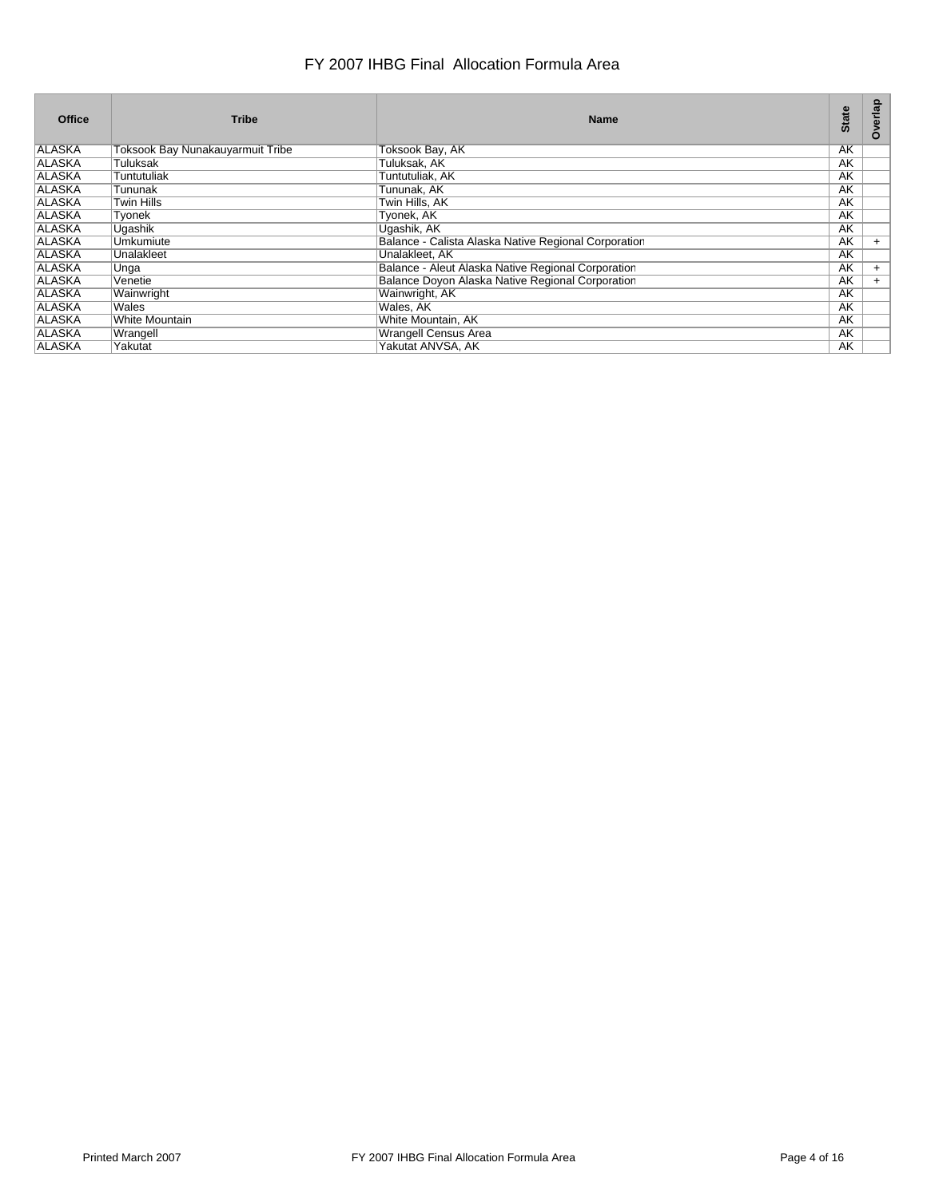| <b>Office</b> | <b>Tribe</b>                     | <b>Name</b>                                          | <b>State</b> | Overlap |
|---------------|----------------------------------|------------------------------------------------------|--------------|---------|
| <b>ALASKA</b> | Toksook Bay Nunakauyarmuit Tribe | Toksook Bay, AK                                      | AK           |         |
| <b>ALASKA</b> | Tuluksak                         | Tuluksak, AK                                         | AK           |         |
| <b>ALASKA</b> | Tuntutuliak                      | Tuntutuliak, AK                                      | AK           |         |
| <b>ALASKA</b> | Tununak                          | Tununak, AK                                          | AK           |         |
| <b>ALASKA</b> | Twin Hills                       | Twin Hills, AK                                       | AK           |         |
| <b>ALASKA</b> | Tyonek                           | Tyonek, AK                                           | AK           |         |
| <b>ALASKA</b> | Uqashik                          | Uqashik, AK                                          | AK           |         |
| <b>ALASKA</b> | Umkumiute                        | Balance - Calista Alaska Native Regional Corporation | AK           | $+$     |
| <b>ALASKA</b> | Unalakleet                       | Unalakleet, AK                                       | AK           |         |
| <b>ALASKA</b> | Unga                             | Balance - Aleut Alaska Native Regional Corporation   | AK           | $+$     |
| <b>ALASKA</b> | Venetie                          | Balance Doyon Alaska Native Regional Corporation     | AK           | $+$     |
| <b>ALASKA</b> | Wainwright                       | Wainwright, AK                                       | AK           |         |
| <b>ALASKA</b> | Wales                            | Wales, AK                                            | AK           |         |
| <b>ALASKA</b> | <b>White Mountain</b>            | White Mountain, AK                                   | AK           |         |
| <b>ALASKA</b> | Wrangell                         | <b>Wrangell Census Area</b>                          | AK           |         |
| <b>ALASKA</b> | Yakutat                          | Yakutat ANVSA, AK                                    | AK           |         |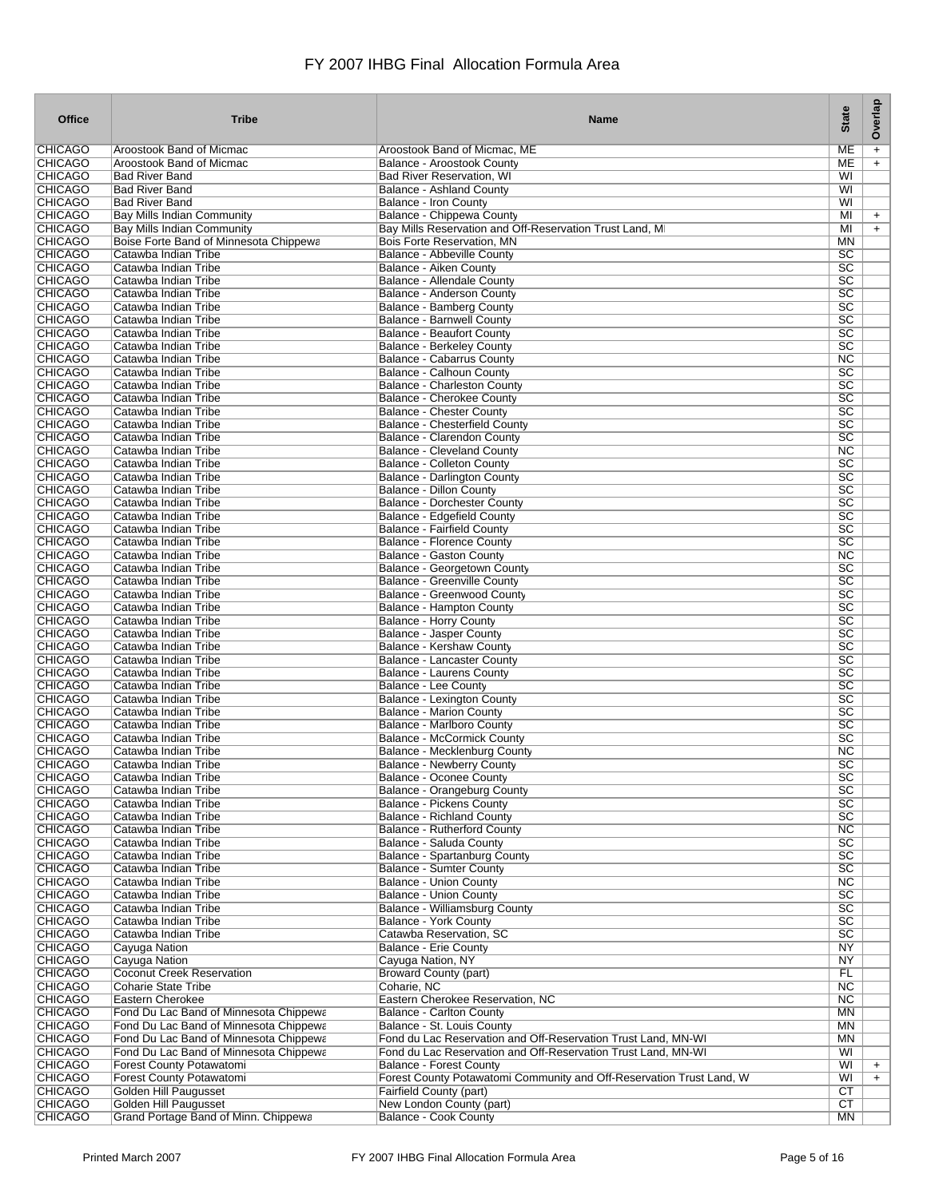| <b>Office</b>                    | <b>Tribe</b>                                                                     | <b>Name</b>                                                                                 | <b>State</b>                       | Overlap   |
|----------------------------------|----------------------------------------------------------------------------------|---------------------------------------------------------------------------------------------|------------------------------------|-----------|
| <b>CHICAGO</b>                   | Aroostook Band of Micmac                                                         | Aroostook Band of Micmac, ME                                                                | MЕ                                 | $\ddot{}$ |
| <b>CHICAGO</b>                   | Aroostook Band of Micmac                                                         | <b>Balance - Aroostook County</b>                                                           | ME                                 | $\ddot{}$ |
| <b>CHICAGO</b>                   | <b>Bad River Band</b>                                                            | <b>Bad River Reservation, WI</b>                                                            | WI                                 |           |
| <b>CHICAGO</b>                   | <b>Bad River Band</b>                                                            | <b>Balance - Ashland County</b>                                                             | WI                                 |           |
| <b>CHICAGO</b>                   | <b>Bad River Band</b>                                                            | Balance - Iron County                                                                       | WI                                 |           |
| <b>CHICAGO</b><br><b>CHICAGO</b> | <b>Bay Mills Indian Community</b>                                                | Balance - Chippewa County                                                                   | MI<br>MI                           | $\ddot{}$ |
| CHICAGO                          | Bay Mills Indian Community<br>Boise Forte Band of Minnesota Chippewa             | Bay Mills Reservation and Off-Reservation Trust Land, MI<br>Bois Forte Reservation, MN      | ΜN                                 | $\ddot{}$ |
| <b>CHICAGO</b>                   | Catawba Indian Tribe                                                             | Balance - Abbeville County                                                                  | $\overline{SC}$                    |           |
| <b>CHICAGO</b>                   | Catawba Indian Tribe                                                             | Balance - Aiken County                                                                      | $\overline{SC}$                    |           |
| <b>CHICAGO</b>                   | Catawba Indian Tribe                                                             | <b>Balance - Allendale County</b>                                                           | $\overline{SC}$                    |           |
| <b>CHICAGO</b>                   | Catawba Indian Tribe                                                             | <b>Balance - Anderson County</b>                                                            | $\overline{SC}$                    |           |
| <b>CHICAGO</b>                   | Catawba Indian Tribe                                                             | Balance - Bamberg County                                                                    | $\overline{SC}$                    |           |
| <b>CHICAGO</b>                   | Catawba Indian Tribe                                                             | <b>Balance - Barnwell County</b>                                                            | $\overline{SC}$                    |           |
| <b>CHICAGO</b>                   | Catawba Indian Tribe                                                             | <b>Balance - Beaufort County</b>                                                            | $\overline{SC}$                    |           |
| <b>CHICAGO</b><br><b>CHICAGO</b> | Catawba Indian Tribe<br>Catawba Indian Tribe                                     | <b>Balance - Berkeley County</b><br>Balance - Cabarrus County                               | $\overline{SC}$<br>NC              |           |
| <b>CHICAGO</b>                   | Catawba Indian Tribe                                                             | Balance - Calhoun County                                                                    | $\overline{SC}$                    |           |
| CHICAGO                          | Catawba Indian Tribe                                                             | <b>Balance - Charleston County</b>                                                          | $\overline{SC}$                    |           |
| <b>CHICAGO</b>                   | Catawba Indian Tribe                                                             | Balance - Cherokee County                                                                   | $\overline{SC}$                    |           |
| <b>CHICAGO</b>                   | Catawba Indian Tribe                                                             | <b>Balance - Chester County</b>                                                             | $\overline{SC}$                    |           |
| <b>CHICAGO</b>                   | Catawba Indian Tribe                                                             | <b>Balance - Chesterfield County</b>                                                        | $\overline{SC}$                    |           |
| <b>CHICAGO</b>                   | Catawba Indian Tribe                                                             | Balance - Clarendon County                                                                  | $\overline{SC}$                    |           |
| <b>CHICAGO</b>                   | Catawba Indian Tribe                                                             | <b>Balance - Cleveland County</b>                                                           | NC.                                |           |
| <b>CHICAGO</b>                   | Catawba Indian Tribe                                                             | Balance - Colleton County                                                                   | $\overline{SC}$                    |           |
| <b>CHICAGO</b>                   | Catawba Indian Tribe                                                             | Balance - Darlington County                                                                 | $\overline{SC}$                    |           |
| <b>CHICAGO</b>                   | Catawba Indian Tribe<br>Catawba Indian Tribe                                     | <b>Balance - Dillon County</b>                                                              | $\overline{SC}$                    |           |
| <b>CHICAGO</b><br><b>CHICAGO</b> | Catawba Indian Tribe                                                             | <b>Balance - Dorchester County</b><br><b>Balance - Edgefield County</b>                     | $\overline{SC}$<br>$\overline{SC}$ |           |
| <b>CHICAGO</b>                   | Catawba Indian Tribe                                                             | <b>Balance - Fairfield County</b>                                                           | $\overline{SC}$                    |           |
| <b>CHICAGO</b>                   | Catawba Indian Tribe                                                             | <b>Balance - Florence County</b>                                                            | $\overline{SC}$                    |           |
| <b>CHICAGO</b>                   | Catawba Indian Tribe                                                             | <b>Balance - Gaston County</b>                                                              | NC                                 |           |
| CHICAGO                          | Catawba Indian Tribe                                                             | Balance - Georgetown County                                                                 | $\overline{SC}$                    |           |
| <b>CHICAGO</b>                   | Catawba Indian Tribe                                                             | Balance - Greenville County                                                                 | $\overline{SC}$                    |           |
| <b>CHICAGO</b>                   | Catawba Indian Tribe                                                             | Balance - Greenwood County                                                                  | $\overline{SC}$                    |           |
| <b>CHICAGO</b>                   | Catawba Indian Tribe                                                             | Balance - Hampton County                                                                    | $\overline{SC}$                    |           |
| <b>CHICAGO</b><br><b>CHICAGO</b> | Catawba Indian Tribe                                                             | <b>Balance - Horry County</b>                                                               | $\overline{SC}$<br>$\overline{SC}$ |           |
| <b>CHICAGO</b>                   | Catawba Indian Tribe<br>Catawba Indian Tribe                                     | <b>Balance - Jasper County</b><br>Balance - Kershaw County                                  | $\overline{SC}$                    |           |
| <b>CHICAGO</b>                   | Catawba Indian Tribe                                                             | Balance - Lancaster County                                                                  | $\overline{SC}$                    |           |
| <b>CHICAGO</b>                   | Catawba Indian Tribe                                                             | <b>Balance - Laurens County</b>                                                             | $\overline{SC}$                    |           |
| <b>CHICAGO</b>                   | Catawba Indian Tribe                                                             | Balance - Lee County                                                                        | $\overline{SC}$                    |           |
| <b>CHICAGO</b>                   | Catawba Indian Tribe                                                             | Balance - Lexington County                                                                  | $\overline{SC}$                    |           |
| CHICAGO                          | Catawba Indian Tribe                                                             | <b>Balance - Marion County</b>                                                              | $\overline{SC}$                    |           |
| <b>CHICAGO</b>                   | Catawba Indian Tribe                                                             | <b>Balance - Marlboro County</b>                                                            | $\overline{SC}$                    |           |
| <b>CHICAGO</b>                   | Catawba Indian Tribe                                                             | <b>Balance - McCormick County</b>                                                           | $\overline{SC}$                    |           |
| <b>CHICAGO</b>                   | Catawba Indian Tribe                                                             | Balance - Mecklenburg County                                                                | NC<br>SC                           |           |
| <b>CHICAGO</b><br>CHICAGO        | Catawba Indian Tribe<br>Catawba Indian Tribe                                     | <b>Balance - Newberry County</b><br>Balance - Oconee County                                 | SC                                 |           |
| <b>CHICAGO</b>                   | Catawba Indian Tribe                                                             | Balance - Orangeburg County                                                                 | $\overline{SC}$                    |           |
| <b>CHICAGO</b>                   | Catawba Indian Tribe                                                             | <b>Balance - Pickens County</b>                                                             | $\overline{SC}$                    |           |
| <b>CHICAGO</b>                   | Catawba Indian Tribe                                                             | <b>Balance - Richland County</b>                                                            | $\overline{SC}$                    |           |
| <b>CHICAGO</b>                   | Catawba Indian Tribe                                                             | <b>Balance - Rutherford County</b>                                                          | $\overline{\text{NC}}$             |           |
| <b>CHICAGO</b>                   | Catawba Indian Tribe                                                             | Balance - Saluda County                                                                     | $\overline{SC}$                    |           |
| <b>CHICAGO</b>                   | Catawba Indian Tribe                                                             | <b>Balance - Spartanburg County</b>                                                         | $\overline{SC}$                    |           |
| <b>CHICAGO</b>                   | Catawba Indian Tribe                                                             | <b>Balance - Sumter County</b>                                                              | $\overline{SC}$                    |           |
| <b>CHICAGO</b>                   | Catawba Indian Tribe                                                             | <b>Balance - Union County</b>                                                               | $\overline{\text{NC}}$             |           |
| <b>CHICAGO</b><br><b>CHICAGO</b> | Catawba Indian Tribe<br>Catawba Indian Tribe                                     | <b>Balance - Union County</b><br><b>Balance - Williamsburg County</b>                       | $\overline{SC}$<br>$\overline{SC}$ |           |
| <b>CHICAGO</b>                   | Catawba Indian Tribe                                                             | <b>Balance - York County</b>                                                                | $\overline{SC}$                    |           |
| <b>CHICAGO</b>                   | Catawba Indian Tribe                                                             | Catawba Reservation, SC                                                                     | $\overline{SC}$                    |           |
| <b>CHICAGO</b>                   | <b>Cayuga Nation</b>                                                             | <b>Balance - Erie County</b>                                                                | NY                                 |           |
| <b>CHICAGO</b>                   | Cayuga Nation                                                                    | Cayuga Nation, NY                                                                           | <b>NY</b>                          |           |
| <b>CHICAGO</b>                   | <b>Coconut Creek Reservation</b>                                                 | <b>Broward County (part)</b>                                                                | FL                                 |           |
| <b>CHICAGO</b>                   | <b>Coharie State Tribe</b>                                                       | Coharie, NC                                                                                 | NC                                 |           |
| <b>CHICAGO</b>                   | Eastern Cherokee                                                                 | Eastern Cherokee Reservation, NC                                                            | $\overline{\text{NC}}$             |           |
| <b>CHICAGO</b>                   | Fond Du Lac Band of Minnesota Chippewa                                           | <b>Balance - Carlton County</b>                                                             | <b>MN</b>                          |           |
| <b>CHICAGO</b><br><b>CHICAGO</b> | Fond Du Lac Band of Minnesota Chippewa<br>Fond Du Lac Band of Minnesota Chippewa | Balance - St. Louis County<br>Fond du Lac Reservation and Off-Reservation Trust Land, MN-WI | ΜN<br><b>MN</b>                    |           |
| <b>CHICAGO</b>                   | Fond Du Lac Band of Minnesota Chippewa                                           | Fond du Lac Reservation and Off-Reservation Trust Land, MN-WI                               | W <sub>1</sub>                     |           |
| <b>CHICAGO</b>                   | <b>Forest County Potawatomi</b>                                                  | <b>Balance - Forest County</b>                                                              | WI                                 | $+$       |
| <b>CHICAGO</b>                   | <b>Forest County Potawatomi</b>                                                  | Forest County Potawatomi Community and Off-Reservation Trust Land, W                        | WI                                 | $+$       |
| <b>CHICAGO</b>                   | Golden Hill Paugusset                                                            | Fairfield County (part)                                                                     | CT                                 |           |
| <b>CHICAGO</b>                   | Golden Hill Paugusset                                                            | New London County (part)                                                                    | CT                                 |           |
| <b>CHICAGO</b>                   | Grand Portage Band of Minn. Chippewa                                             | <b>Balance - Cook County</b>                                                                | <b>MN</b>                          |           |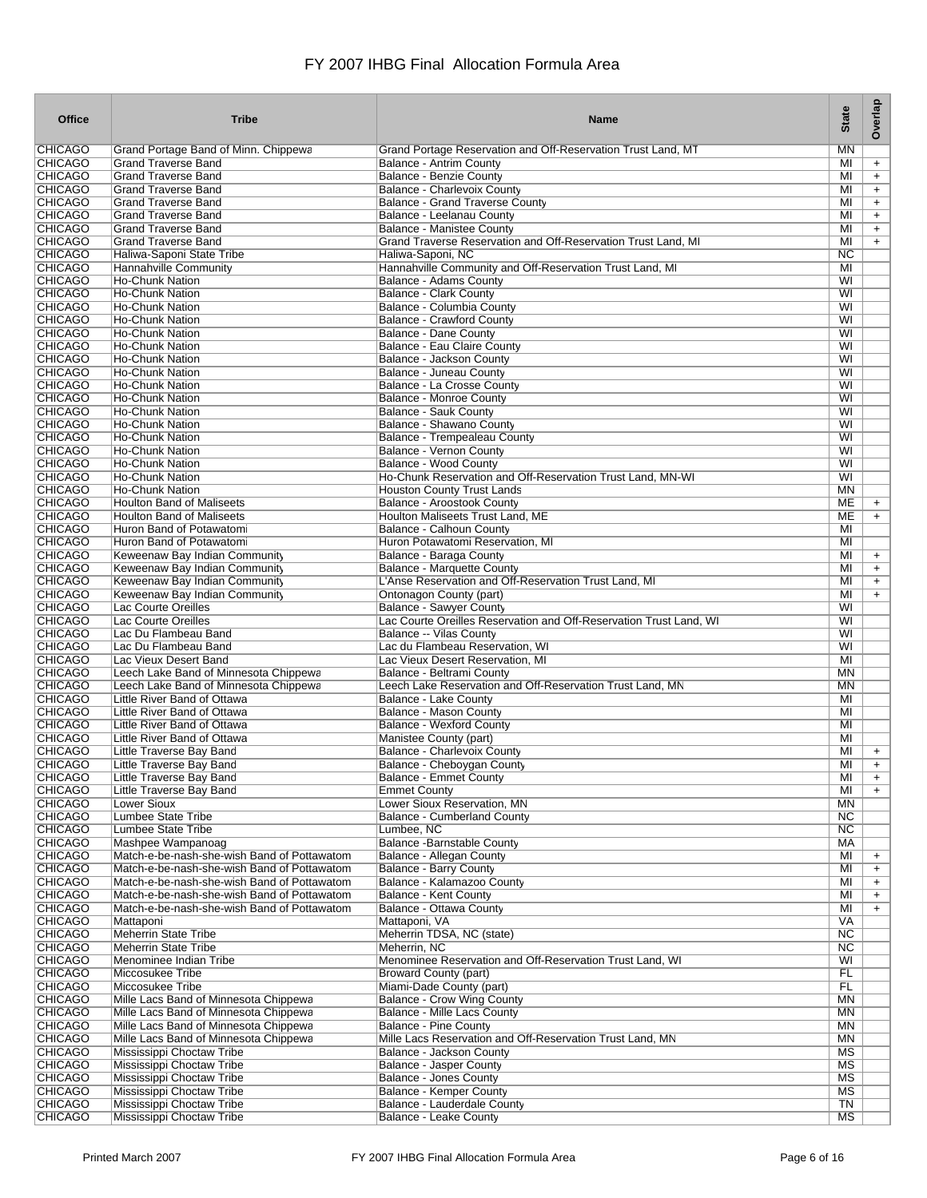| <b>Office</b>                    | <b>Tribe</b>                                                                               | <b>Name</b>                                                                                       | <b>State</b>                 | Overlap    |
|----------------------------------|--------------------------------------------------------------------------------------------|---------------------------------------------------------------------------------------------------|------------------------------|------------|
| <b>CHICAGO</b>                   | Grand Portage Band of Minn. Chippewa                                                       | Grand Portage Reservation and Off-Reservation Trust Land, MT                                      | <b>MN</b>                    |            |
| <b>CHICAGO</b>                   | <b>Grand Traverse Band</b>                                                                 | <b>Balance - Antrim County</b>                                                                    | MI                           | $+$        |
| <b>CHICAGO</b>                   | <b>Grand Traverse Band</b>                                                                 | <b>Balance - Benzie County</b>                                                                    | MI                           | $\ddot{}$  |
| <b>CHICAGO</b>                   | <b>Grand Traverse Band</b>                                                                 | <b>Balance - Charlevoix County</b>                                                                | MI                           | $\ddot{}$  |
| <b>CHICAGO</b>                   | <b>Grand Traverse Band</b>                                                                 | <b>Balance - Grand Traverse County</b>                                                            | MI                           | $\ddot{}$  |
| <b>CHICAGO</b>                   | <b>Grand Traverse Band</b>                                                                 | Balance - Leelanau County                                                                         | MI                           | $\ddot{}$  |
| <b>CHICAGO</b><br><b>CHICAGO</b> | <b>Grand Traverse Band</b><br><b>Grand Traverse Band</b>                                   | <b>Balance - Manistee County</b><br>Grand Traverse Reservation and Off-Reservation Trust Land, MI | MI<br>MI                     | $\ddot{}$  |
| <b>CHICAGO</b>                   | Haliwa-Saponi State Tribe                                                                  | Haliwa-Saponi, NC                                                                                 | NC                           | $+$        |
| <b>CHICAGO</b>                   | Hannahville Community                                                                      | Hannahville Community and Off-Reservation Trust Land, MI                                          | MI                           |            |
| <b>CHICAGO</b>                   | <b>Ho-Chunk Nation</b>                                                                     | Balance - Adams County                                                                            | WI                           |            |
| <b>CHICAGO</b>                   | <b>Ho-Chunk Nation</b>                                                                     | <b>Balance - Clark County</b>                                                                     | WI                           |            |
| <b>CHICAGO</b>                   | <b>Ho-Chunk Nation</b>                                                                     | Balance - Columbia County                                                                         | WI                           |            |
| <b>CHICAGO</b>                   | <b>Ho-Chunk Nation</b>                                                                     | <b>Balance - Crawford County</b>                                                                  | WI                           |            |
| <b>CHICAGO</b>                   | <b>Ho-Chunk Nation</b>                                                                     | Balance - Dane County                                                                             | WI                           |            |
| <b>CHICAGO</b>                   | <b>Ho-Chunk Nation</b>                                                                     | Balance - Eau Claire County                                                                       | WI                           |            |
| <b>CHICAGO</b>                   | <b>Ho-Chunk Nation</b>                                                                     | Balance - Jackson County                                                                          | WI                           |            |
| <b>CHICAGO</b>                   | <b>Ho-Chunk Nation</b>                                                                     | <b>Balance - Juneau County</b>                                                                    | WI                           |            |
| <b>CHICAGO</b>                   | <b>Ho-Chunk Nation</b>                                                                     | Balance - La Crosse County                                                                        | WI                           |            |
| <b>CHICAGO</b>                   | <b>Ho-Chunk Nation</b>                                                                     | Balance - Monroe County                                                                           | WI                           |            |
| <b>CHICAGO</b>                   | <b>Ho-Chunk Nation</b>                                                                     | <b>Balance - Sauk County</b>                                                                      | WI                           |            |
| <b>CHICAGO</b><br><b>CHICAGO</b> | <b>Ho-Chunk Nation</b>                                                                     | Balance - Shawano County<br>Balance - Trempealeau County                                          | WI<br>WI                     |            |
| <b>CHICAGO</b>                   | <b>Ho-Chunk Nation</b><br><b>Ho-Chunk Nation</b>                                           | Balance - Vernon County                                                                           | WI                           |            |
| <b>CHICAGO</b>                   | <b>Ho-Chunk Nation</b>                                                                     | Balance - Wood County                                                                             | WI                           |            |
| <b>CHICAGO</b>                   | <b>Ho-Chunk Nation</b>                                                                     | Ho-Chunk Reservation and Off-Reservation Trust Land, MN-WI                                        | WI                           |            |
| <b>CHICAGO</b>                   | <b>Ho-Chunk Nation</b>                                                                     | <b>Houston County Trust Lands</b>                                                                 | <b>MN</b>                    |            |
| <b>CHICAGO</b>                   | <b>Houlton Band of Maliseets</b>                                                           | Balance - Aroostook County                                                                        | ME                           | $+$        |
| <b>CHICAGO</b>                   | <b>Houlton Band of Maliseets</b>                                                           | Houlton Maliseets Trust Land, ME                                                                  | ME                           | $+$        |
| <b>CHICAGO</b>                   | Huron Band of Potawatomi                                                                   | Balance - Calhoun County                                                                          | MI                           |            |
| <b>CHICAGO</b>                   | Huron Band of Potawatomi                                                                   | Huron Potawatomi Reservation, MI                                                                  | MI                           |            |
| <b>CHICAGO</b>                   | Keweenaw Bay Indian Community                                                              | Balance - Baraga County                                                                           | MI                           | $\ddot{}$  |
| <b>CHICAGO</b>                   | Keweenaw Bay Indian Community                                                              | Balance - Marquette County                                                                        | MI                           | $+$        |
| <b>CHICAGO</b>                   | Keweenaw Bay Indian Community                                                              | L'Anse Reservation and Off-Reservation Trust Land, MI                                             | MI                           | $+$        |
| <b>CHICAGO</b>                   | Keweenaw Bay Indian Community                                                              | Ontonagon County (part)                                                                           | MI                           | $\ddot{}$  |
| <b>CHICAGO</b>                   | Lac Courte Oreilles                                                                        | <b>Balance - Sawyer County</b>                                                                    | WI                           |            |
| <b>CHICAGO</b>                   | Lac Courte Oreilles                                                                        | Lac Courte Oreilles Reservation and Off-Reservation Trust Land, WI                                | WI                           |            |
| <b>CHICAGO</b>                   | Lac Du Flambeau Band                                                                       | Balance -- Vilas County                                                                           | WI                           |            |
| <b>CHICAGO</b><br><b>CHICAGO</b> | Lac Du Flambeau Band                                                                       | Lac du Flambeau Reservation, WI                                                                   | WI<br>MI                     |            |
| <b>CHICAGO</b>                   | Lac Vieux Desert Band<br>Leech Lake Band of Minnesota Chippewa                             | Lac Vieux Desert Reservation, MI<br>Balance - Beltrami County                                     | <b>MN</b>                    |            |
| <b>CHICAGO</b>                   | Leech Lake Band of Minnesota Chippewa                                                      | Leech Lake Reservation and Off-Reservation Trust Land, MN                                         | MN                           |            |
| <b>CHICAGO</b>                   | Little River Band of Ottawa                                                                | Balance - Lake County                                                                             | MI                           |            |
| <b>CHICAGO</b>                   | Little River Band of Ottawa                                                                | Balance - Mason County                                                                            | MI                           |            |
| <b>CHICAGO</b>                   | Little River Band of Ottawa                                                                | <b>Balance - Wexford County</b>                                                                   | MI                           |            |
| <b>CHICAGO</b>                   | Little River Band of Ottawa                                                                | Manistee County (part)                                                                            | MI                           |            |
| <b>CHICAGO</b>                   | Little Traverse Bay Band                                                                   | <b>Balance - Charlevoix County</b>                                                                | MI                           | $\ddot{}$  |
| <b>CHICAGO</b>                   | Little Traverse Bay Band                                                                   | Balance - Cheboygan County                                                                        | MI                           | $\ddot{}$  |
| CHICAGO                          | Little Traverse Bay Band                                                                   | Balance - Emmet County                                                                            | MI                           |            |
| <b>CHICAGO</b>                   | Little Traverse Bay Band                                                                   | <b>Emmet County</b>                                                                               | MI                           | $+$        |
| <b>CHICAGO</b>                   | <b>Lower Sioux</b>                                                                         | Lower Sioux Reservation, MN                                                                       | ΜN                           |            |
| <b>CHICAGO</b>                   | <b>Lumbee State Tribe</b>                                                                  | <b>Balance - Cumberland County</b>                                                                | NC                           |            |
| <b>CHICAGO</b>                   | <b>Lumbee State Tribe</b>                                                                  | Lumbee, NC                                                                                        | NC                           |            |
| <b>CHICAGO</b>                   | Mashpee Wampanoag                                                                          | <b>Balance -Barnstable County</b>                                                                 | <b>MA</b>                    |            |
| <b>CHICAGO</b><br><b>CHICAGO</b> | Match-e-be-nash-she-wish Band of Pottawatom                                                | <b>Balance - Allegan County</b><br><b>Balance - Barry County</b>                                  | MI                           | $\ddot{}$  |
| <b>CHICAGO</b>                   | Match-e-be-nash-she-wish Band of Pottawatom<br>Match-e-be-nash-she-wish Band of Pottawatom | Balance - Kalamazoo County                                                                        | MI<br>MI                     | $+$<br>$+$ |
| <b>CHICAGO</b>                   | Match-e-be-nash-she-wish Band of Pottawatom                                                | <b>Balance - Kent County</b>                                                                      | MI                           | $+$        |
| <b>CHICAGO</b>                   | Match-e-be-nash-she-wish Band of Pottawatom                                                | Balance - Ottawa County                                                                           | MI                           | $+$        |
| <b>CHICAGO</b>                   | Mattaponi                                                                                  | Mattaponi, VA                                                                                     | <b>VA</b>                    |            |
| <b>CHICAGO</b>                   | <b>Meherrin State Tribe</b>                                                                | Meherrin TDSA, NC (state)                                                                         | NC                           |            |
| <b>CHICAGO</b>                   | <b>Meherrin State Tribe</b>                                                                | Meherrin, NC                                                                                      | NC                           |            |
| <b>CHICAGO</b>                   | Menominee Indian Tribe                                                                     | Menominee Reservation and Off-Reservation Trust Land, WI                                          | WI                           |            |
| <b>CHICAGO</b>                   | Miccosukee Tribe                                                                           | <b>Broward County (part)</b>                                                                      | FL                           |            |
| <b>CHICAGO</b>                   | Miccosukee Tribe                                                                           | Miami-Dade County (part)                                                                          | <b>FL</b>                    |            |
| <b>CHICAGO</b>                   | Mille Lacs Band of Minnesota Chippewa                                                      | <b>Balance - Crow Wing County</b>                                                                 | MN                           |            |
| <b>CHICAGO</b>                   | Mille Lacs Band of Minnesota Chippewa                                                      | <b>Balance - Mille Lacs County</b>                                                                | MN                           |            |
| <b>CHICAGO</b>                   | Mille Lacs Band of Minnesota Chippewa                                                      | <b>Balance - Pine County</b>                                                                      | <b>MN</b>                    |            |
| <b>CHICAGO</b>                   | Mille Lacs Band of Minnesota Chippewa                                                      | Mille Lacs Reservation and Off-Reservation Trust Land, MN                                         | <b>MN</b>                    |            |
| <b>CHICAGO</b>                   | Mississippi Choctaw Tribe                                                                  | Balance - Jackson County                                                                          | MS<br>$\overline{\text{MS}}$ |            |
| <b>CHICAGO</b><br><b>CHICAGO</b> | Mississippi Choctaw Tribe<br>Mississippi Choctaw Tribe                                     | <b>Balance - Jasper County</b><br><b>Balance - Jones County</b>                                   | MS                           |            |
| <b>CHICAGO</b>                   | Mississippi Choctaw Tribe                                                                  | <b>Balance - Kemper County</b>                                                                    | MS                           |            |
| <b>CHICAGO</b>                   | Mississippi Choctaw Tribe                                                                  | <b>Balance - Lauderdale County</b>                                                                | TN                           |            |
| <b>CHICAGO</b>                   | Mississippi Choctaw Tribe                                                                  | Balance - Leake County                                                                            | MS                           |            |
|                                  |                                                                                            |                                                                                                   |                              |            |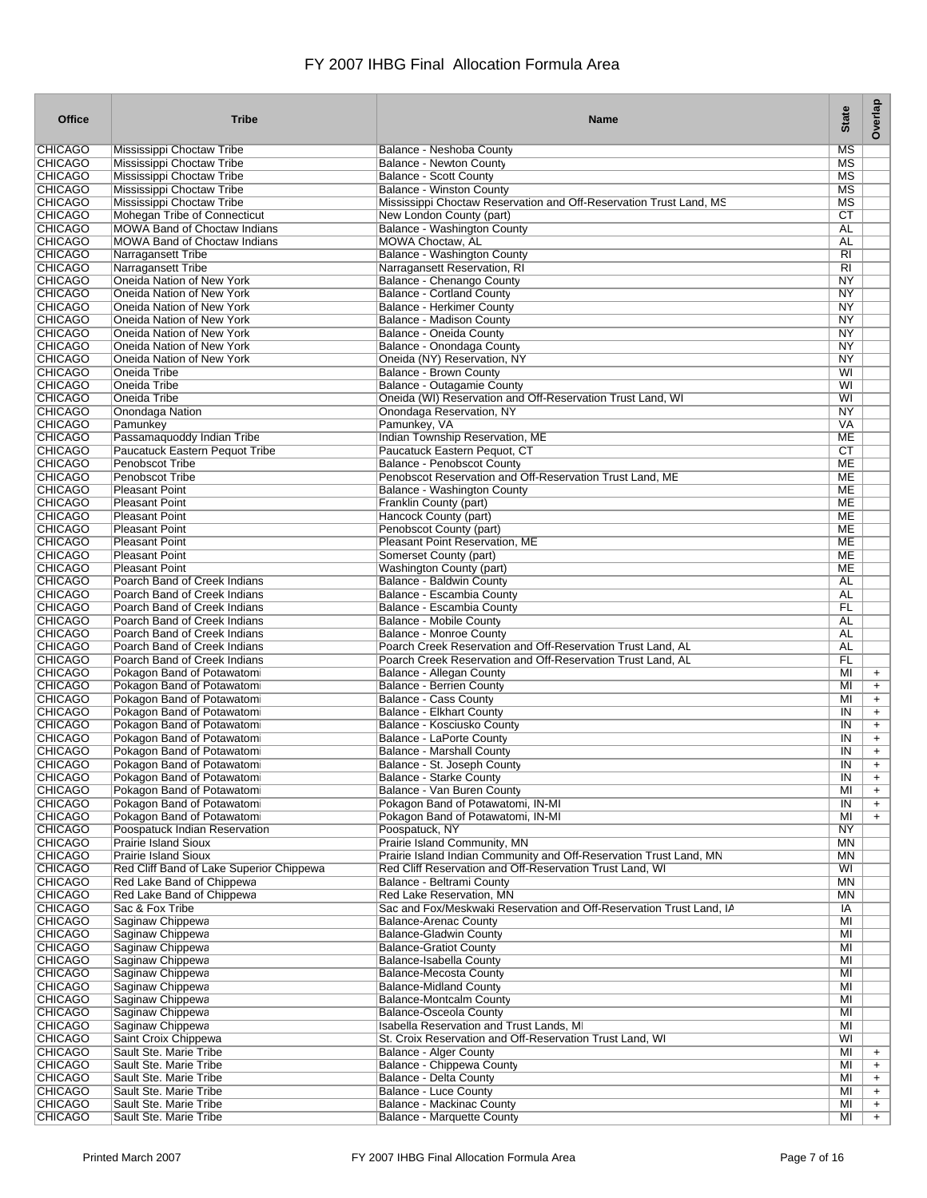| Office                           | <b>Tribe</b>                                                        | <b>Name</b>                                                                             | <b>State</b>    | Overlap                |
|----------------------------------|---------------------------------------------------------------------|-----------------------------------------------------------------------------------------|-----------------|------------------------|
| <b>CHICAGO</b>                   | Mississippi Choctaw Tribe                                           | Balance - Neshoba County                                                                | MS              |                        |
| <b>CHICAGO</b>                   | Mississippi Choctaw Tribe                                           | <b>Balance - Newton County</b>                                                          | MS              |                        |
| <b>CHICAGO</b>                   | Mississippi Choctaw Tribe                                           | <b>Balance - Scott County</b>                                                           | MS              |                        |
| <b>CHICAGO</b>                   | Mississippi Choctaw Tribe                                           | <b>Balance - Winston County</b>                                                         | MS              |                        |
| <b>CHICAGO</b>                   | Mississippi Choctaw Tribe                                           | Mississippi Choctaw Reservation and Off-Reservation Trust Land, MS                      | MS              |                        |
| <b>CHICAGO</b>                   | Mohegan Tribe of Connecticut<br><b>MOWA Band of Choctaw Indians</b> | New London County (part)                                                                | СT<br><b>AL</b> |                        |
| <b>CHICAGO</b><br><b>CHICAGO</b> | <b>MOWA Band of Choctaw Indians</b>                                 | <b>Balance - Washington County</b><br><b>MOWA Choctaw, AL</b>                           | AL              |                        |
| <b>CHICAGO</b>                   | Narragansett Tribe                                                  | <b>Balance - Washington County</b>                                                      | RI              |                        |
| <b>CHICAGO</b>                   | Narragansett Tribe                                                  | Narragansett Reservation, RI                                                            | R <sub>1</sub>  |                        |
| <b>CHICAGO</b>                   | Oneida Nation of New York                                           | Balance - Chenango County                                                               | <b>NY</b>       |                        |
| <b>CHICAGO</b>                   | Oneida Nation of New York                                           | <b>Balance - Cortland County</b>                                                        | <b>NY</b>       |                        |
| <b>CHICAGO</b>                   | Oneida Nation of New York                                           | <b>Balance - Herkimer County</b>                                                        | NY              |                        |
| <b>CHICAGO</b>                   | Oneida Nation of New York                                           | Balance - Madison County                                                                | NY              |                        |
| <b>CHICAGO</b>                   | Oneida Nation of New York                                           | Balance - Oneida County                                                                 | NY              |                        |
| <b>CHICAGO</b>                   | Oneida Nation of New York                                           | Balance - Onondaga County                                                               | <b>NY</b>       |                        |
| <b>CHICAGO</b><br><b>CHICAGO</b> | Oneida Nation of New York<br>Oneida Tribe                           | Oneida (NY) Reservation, NY<br><b>Balance - Brown County</b>                            | NY<br>WI        |                        |
| CHICAGO                          | Oneida Tribe                                                        | <b>Balance - Outagamie County</b>                                                       | WI              |                        |
| <b>CHICAGO</b>                   | Oneida Tribe                                                        | Oneida (WI) Reservation and Off-Reservation Trust Land, WI                              | WI              |                        |
| <b>CHICAGO</b>                   | Onondaga Nation                                                     | <b>Onondaga Reservation, NY</b>                                                         | NY              |                        |
| <b>CHICAGO</b>                   | Pamunkey                                                            | Pamunkey, VA                                                                            | <b>VA</b>       |                        |
| <b>CHICAGO</b>                   | Passamaquoddy Indian Tribe                                          | Indian Township Reservation, ME                                                         | MЕ              |                        |
| CHICAGO                          | Paucatuck Eastern Pequot Tribe                                      | Paucatuck Eastern Pequot, CT                                                            | СT              |                        |
| <b>CHICAGO</b>                   | <b>Penobscot Tribe</b>                                              | Balance - Penobscot County                                                              | <b>ME</b>       |                        |
| <b>CHICAGO</b>                   | Penobscot Tribe                                                     | Penobscot Reservation and Off-Reservation Trust Land, ME                                | ME              |                        |
| <b>CHICAGO</b>                   | <b>Pleasant Point</b>                                               | <b>Balance - Washington County</b>                                                      | ME              |                        |
| <b>CHICAGO</b>                   | <b>Pleasant Point</b>                                               | Franklin County (part)                                                                  | <b>ME</b>       |                        |
| <b>CHICAGO</b>                   | <b>Pleasant Point</b>                                               | Hancock County (part)<br>Penobscot County (part)                                        | МE<br>ME        |                        |
| <b>CHICAGO</b><br><b>CHICAGO</b> | <b>Pleasant Point</b><br><b>Pleasant Point</b>                      | Pleasant Point Reservation, ME                                                          | ME              |                        |
| <b>CHICAGO</b>                   | <b>Pleasant Point</b>                                               | Somerset County (part)                                                                  | ME              |                        |
| <b>CHICAGO</b>                   | <b>Pleasant Point</b>                                               | Washington County (part)                                                                | MЕ              |                        |
| <b>CHICAGO</b>                   | Poarch Band of Creek Indians                                        | Balance - Baldwin County                                                                | AL              |                        |
| CHICAGO                          | Poarch Band of Creek Indians                                        | Balance - Escambia County                                                               | AL              |                        |
| <b>CHICAGO</b>                   | Poarch Band of Creek Indians                                        | Balance - Escambia County                                                               | FL              |                        |
| <b>CHICAGO</b>                   | Poarch Band of Creek Indians                                        | <b>Balance - Mobile County</b>                                                          | <b>AL</b>       |                        |
| <b>CHICAGO</b>                   | Poarch Band of Creek Indians                                        | <b>Balance - Monroe County</b>                                                          | AL              |                        |
| <b>CHICAGO</b>                   | Poarch Band of Creek Indians                                        | Poarch Creek Reservation and Off-Reservation Trust Land, AL                             | AL              |                        |
| <b>CHICAGO</b><br><b>CHICAGO</b> | Poarch Band of Creek Indians<br>Pokagon Band of Potawatomi          | Poarch Creek Reservation and Off-Reservation Trust Land, AL<br>Balance - Allegan County | FL<br>MI        |                        |
| <b>CHICAGO</b>                   | Pokagon Band of Potawatomi                                          | <b>Balance - Berrien County</b>                                                         | MI              | $\ddot{}$<br>$\ddot{}$ |
| <b>CHICAGO</b>                   | Pokagon Band of Potawatomi                                          | <b>Balance - Cass County</b>                                                            | MI              | $\ddot{}$              |
| CHICAGO                          | Pokagon Band of Potawatomi                                          | <b>Balance - Elkhart County</b>                                                         | IN              | $\ddot{}$              |
| <b>CHICAGO</b>                   | Pokagon Band of Potawatomi                                          | Balance - Kosciusko County                                                              | IN              | $\ddot{}$              |
| <b>CHICAGO</b>                   | Pokagon Band of Potawatomi                                          | <b>Balance - LaPorte County</b>                                                         | IN              | $\ddot{}$              |
| <b>CHICAGO</b>                   | Pokagon Band of Potawatomi                                          | <b>Balance - Marshall County</b>                                                        | IN              | $\ddot{}$              |
| <b>CHICAGO</b>                   | Pokagon Band of Potawatomi                                          | Balance - St. Joseph County                                                             | IN              | $\ddot{}$              |
| CHICAGO                          | Pokagon Band of Potawatomi                                          | Balance - Starke County                                                                 | IN              |                        |
| <b>CHICAGO</b>                   | Pokagon Band of Potawatomi                                          | Balance - Van Buren County                                                              | MI              | $\ddot{}$              |
| <b>CHICAGO</b><br><b>CHICAGO</b> | Pokagon Band of Potawatomi<br>Pokagon Band of Potawatomi            | Pokagon Band of Potawatomi, IN-MI<br>Pokagon Band of Potawatomi, IN-MI                  | IN<br>MI        | $+$<br>$+$             |
| <b>CHICAGO</b>                   | Poospatuck Indian Reservation                                       | Poospatuck, NY                                                                          | <b>NY</b>       |                        |
| <b>CHICAGO</b>                   | <b>Prairie Island Sioux</b>                                         | Prairie Island Community, MN                                                            | MN              |                        |
| <b>CHICAGO</b>                   | <b>Prairie Island Sioux</b>                                         | Prairie Island Indian Community and Off-Reservation Trust Land, MN                      | MN              |                        |
| <b>CHICAGO</b>                   | Red Cliff Band of Lake Superior Chippewa                            | Red Cliff Reservation and Off-Reservation Trust Land, WI                                | WI              |                        |
| <b>CHICAGO</b>                   | Red Lake Band of Chippewa                                           | Balance - Beltrami County                                                               | <b>MN</b>       |                        |
| <b>CHICAGO</b>                   | Red Lake Band of Chippewa                                           | Red Lake Reservation, MN                                                                | ΜN              |                        |
| <b>CHICAGO</b>                   | Sac & Fox Tribe                                                     | Sac and Fox/Meskwaki Reservation and Off-Reservation Trust Land, IA                     | ΙA              |                        |
| <b>CHICAGO</b>                   | Saginaw Chippewa                                                    | <b>Balance-Arenac County</b>                                                            | MI              |                        |
| <b>CHICAGO</b><br><b>CHICAGO</b> | Saginaw Chippewa<br>Saginaw Chippewa                                | <b>Balance-Gladwin County</b>                                                           | MI<br>MI        |                        |
| <b>CHICAGO</b>                   | Saginaw Chippewa                                                    | <b>Balance-Gratiot County</b><br>Balance-Isabella County                                | M <sub>l</sub>  |                        |
| <b>CHICAGO</b>                   | Saginaw Chippewa                                                    | <b>Balance-Mecosta County</b>                                                           | MI              |                        |
| <b>CHICAGO</b>                   | Saginaw Chippewa                                                    | <b>Balance-Midland County</b>                                                           | MI              |                        |
| <b>CHICAGO</b>                   | Saginaw Chippewa                                                    | <b>Balance-Montcalm County</b>                                                          | MI              |                        |
| <b>CHICAGO</b>                   | Saginaw Chippewa                                                    | <b>Balance-Osceola County</b>                                                           | MI              |                        |
| <b>CHICAGO</b>                   | Saginaw Chippewa                                                    | <b>Isabella Reservation and Trust Lands, MI</b>                                         | MI              |                        |
| <b>CHICAGO</b>                   | Saint Croix Chippewa                                                | St. Croix Reservation and Off-Reservation Trust Land, WI                                | WI              |                        |
| <b>CHICAGO</b>                   | Sault Ste. Marie Tribe                                              | <b>Balance - Alger County</b>                                                           | MI              | $\ddot{}$              |
| <b>CHICAGO</b>                   | Sault Ste. Marie Tribe                                              | <b>Balance - Chippewa County</b>                                                        | MI              | $+$                    |
| <b>CHICAGO</b><br><b>CHICAGO</b> | Sault Ste. Marie Tribe<br>Sault Ste. Marie Tribe                    | <b>Balance - Delta County</b><br>Balance - Luce County                                  | MI<br>MI        | $+$                    |
| <b>CHICAGO</b>                   | Sault Ste. Marie Tribe                                              | <b>Balance - Mackinac County</b>                                                        | MI              | $\ddot{}$<br>$+$       |
| <b>CHICAGO</b>                   | Sault Ste. Marie Tribe                                              | Balance - Marquette County                                                              | MI              | $+$                    |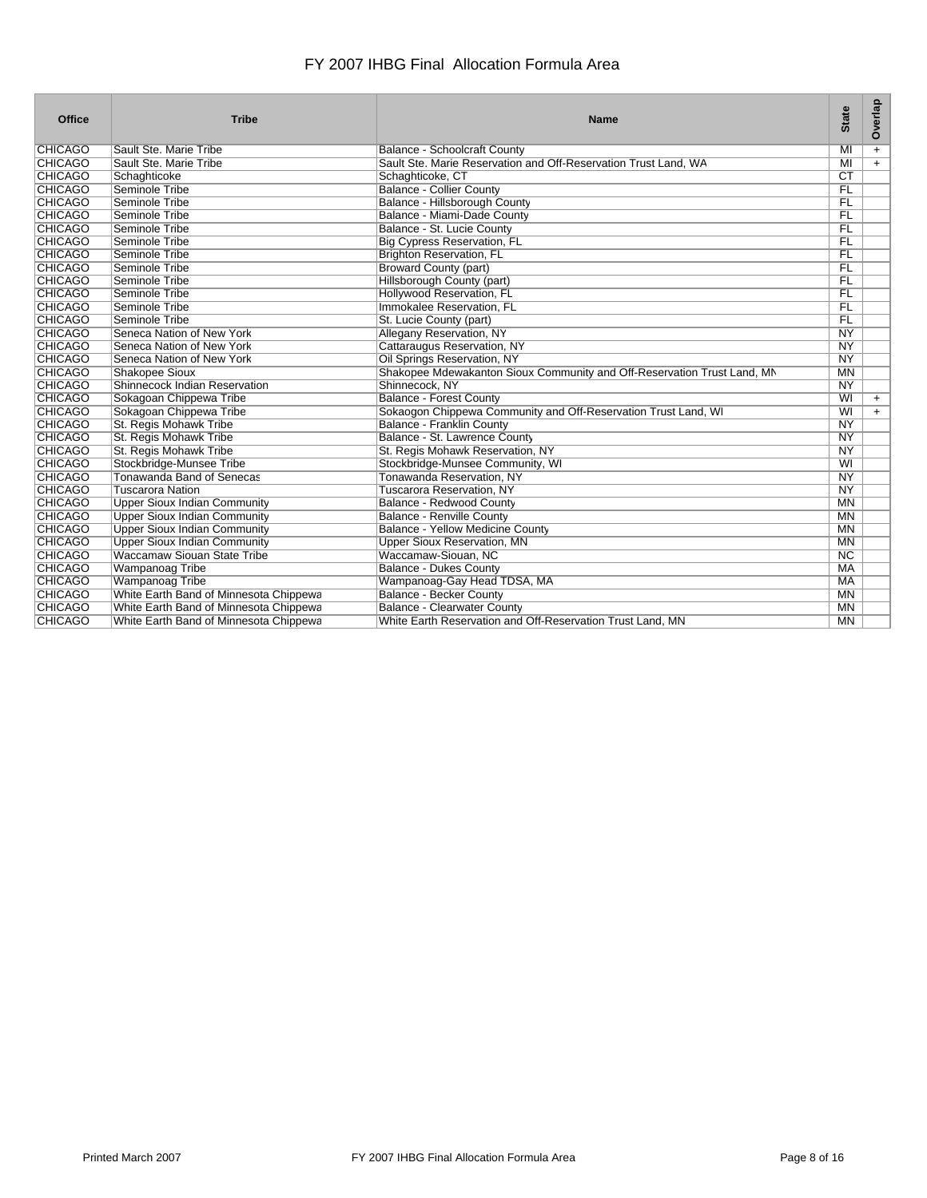| Office         | <b>Tribe</b>                           | <b>Name</b>                                                             | <b>State</b>           | Overlap   |
|----------------|----------------------------------------|-------------------------------------------------------------------------|------------------------|-----------|
| <b>CHICAGO</b> | Sault Ste. Marie Tribe                 | <b>Balance - Schoolcraft County</b>                                     | MI                     | $\ddot{}$ |
| <b>CHICAGO</b> | Sault Ste. Marie Tribe                 | Sault Ste. Marie Reservation and Off-Reservation Trust Land, WA         | MI                     | $+$       |
| <b>CHICAGO</b> | Schaghticoke                           | Schaghticoke, CT                                                        | $\overline{\text{CT}}$ |           |
| <b>CHICAGO</b> | Seminole Tribe                         | <b>Balance - Collier County</b>                                         | <b>FL</b>              |           |
| <b>CHICAGO</b> | Seminole Tribe                         | Balance - Hillsborough County                                           | FL                     |           |
| <b>CHICAGO</b> | Seminole Tribe                         | Balance - Miami-Dade County                                             | FL                     |           |
| <b>CHICAGO</b> | Seminole Tribe                         | Balance - St. Lucie County                                              | <b>FL</b>              |           |
| <b>CHICAGO</b> | Seminole Tribe                         | <b>Big Cypress Reservation, FL</b>                                      | FL                     |           |
| <b>CHICAGO</b> | Seminole Tribe                         | <b>Brighton Reservation, FL</b>                                         | F <sub>L</sub>         |           |
| <b>CHICAGO</b> | Seminole Tribe                         | <b>Broward County (part)</b>                                            | FL                     |           |
| <b>CHICAGO</b> | Seminole Tribe                         | Hillsborough County (part)                                              | FL                     |           |
| <b>CHICAGO</b> | Seminole Tribe                         | Hollywood Reservation, FL                                               | FL                     |           |
| <b>CHICAGO</b> | Seminole Tribe                         | Immokalee Reservation. FL                                               | <b>FL</b>              |           |
| <b>CHICAGO</b> | Seminole Tribe                         | St. Lucie County (part)                                                 | FL                     |           |
| <b>CHICAGO</b> | Seneca Nation of New York              | Allegany Reservation, NY                                                | $\overline{NY}$        |           |
| <b>CHICAGO</b> | Seneca Nation of New York              | Cattaraugus Reservation, NY                                             | NY                     |           |
| <b>CHICAGO</b> | Seneca Nation of New York              | Oil Springs Reservation, NY                                             | NY                     |           |
| <b>CHICAGO</b> | <b>Shakopee Sioux</b>                  | Shakopee Mdewakanton Sioux Community and Off-Reservation Trust Land, MN | <b>MN</b>              |           |
| <b>CHICAGO</b> | Shinnecock Indian Reservation          | Shinnecock, NY                                                          | <b>NY</b>              |           |
| <b>CHICAGO</b> | Sokagoan Chippewa Tribe                | <b>Balance - Forest County</b>                                          | WI                     | $+$       |
| <b>CHICAGO</b> | Sokagoan Chippewa Tribe                | Sokaogon Chippewa Community and Off-Reservation Trust Land, WI          | WI                     | $+$       |
| <b>CHICAGO</b> | St. Regis Mohawk Tribe                 | <b>Balance - Franklin County</b>                                        | <b>NY</b>              |           |
| <b>CHICAGO</b> | St. Regis Mohawk Tribe                 | Balance - St. Lawrence County                                           | <b>NY</b>              |           |
| <b>CHICAGO</b> | St. Regis Mohawk Tribe                 | St. Regis Mohawk Reservation, NY                                        | <b>NY</b>              |           |
| <b>CHICAGO</b> | Stockbridge-Munsee Tribe               | Stockbridge-Munsee Community, WI                                        | WI                     |           |
| <b>CHICAGO</b> | <b>Tonawanda Band of Senecas</b>       | Tonawanda Reservation, NY                                               | <b>NY</b>              |           |
| <b>CHICAGO</b> | Tuscarora Nation                       | <b>Tuscarora Reservation, NY</b>                                        | <b>NY</b>              |           |
| <b>CHICAGO</b> | <b>Upper Sioux Indian Community</b>    | Balance - Redwood County                                                | <b>MN</b>              |           |
| <b>CHICAGO</b> | <b>Upper Sioux Indian Community</b>    | <b>Balance - Renville County</b>                                        | <b>MN</b>              |           |
| <b>CHICAGO</b> | <b>Upper Sioux Indian Community</b>    | Balance - Yellow Medicine County                                        | <b>MN</b>              |           |
| <b>CHICAGO</b> | <b>Upper Sioux Indian Community</b>    | <b>Upper Sioux Reservation, MN</b>                                      | <b>MN</b>              |           |
| <b>CHICAGO</b> | <b>Waccamaw Siouan State Tribe</b>     | Waccamaw-Siouan, NC                                                     | $\overline{\text{NC}}$ |           |
| <b>CHICAGO</b> | <b>Wampanoag Tribe</b>                 | <b>Balance - Dukes County</b>                                           | <b>MA</b>              |           |
| <b>CHICAGO</b> | Wampanoag Tribe                        | Wampanoag-Gay Head TDSA, MA                                             | <b>MA</b>              |           |
| <b>CHICAGO</b> | White Earth Band of Minnesota Chippewa | <b>Balance - Becker County</b>                                          | <b>MN</b>              |           |
| <b>CHICAGO</b> | White Earth Band of Minnesota Chippewa | <b>Balance - Clearwater County</b>                                      | <b>MN</b>              |           |
| <b>CHICAGO</b> | White Earth Band of Minnesota Chippewa | White Earth Reservation and Off-Reservation Trust Land, MN              | <b>MN</b>              |           |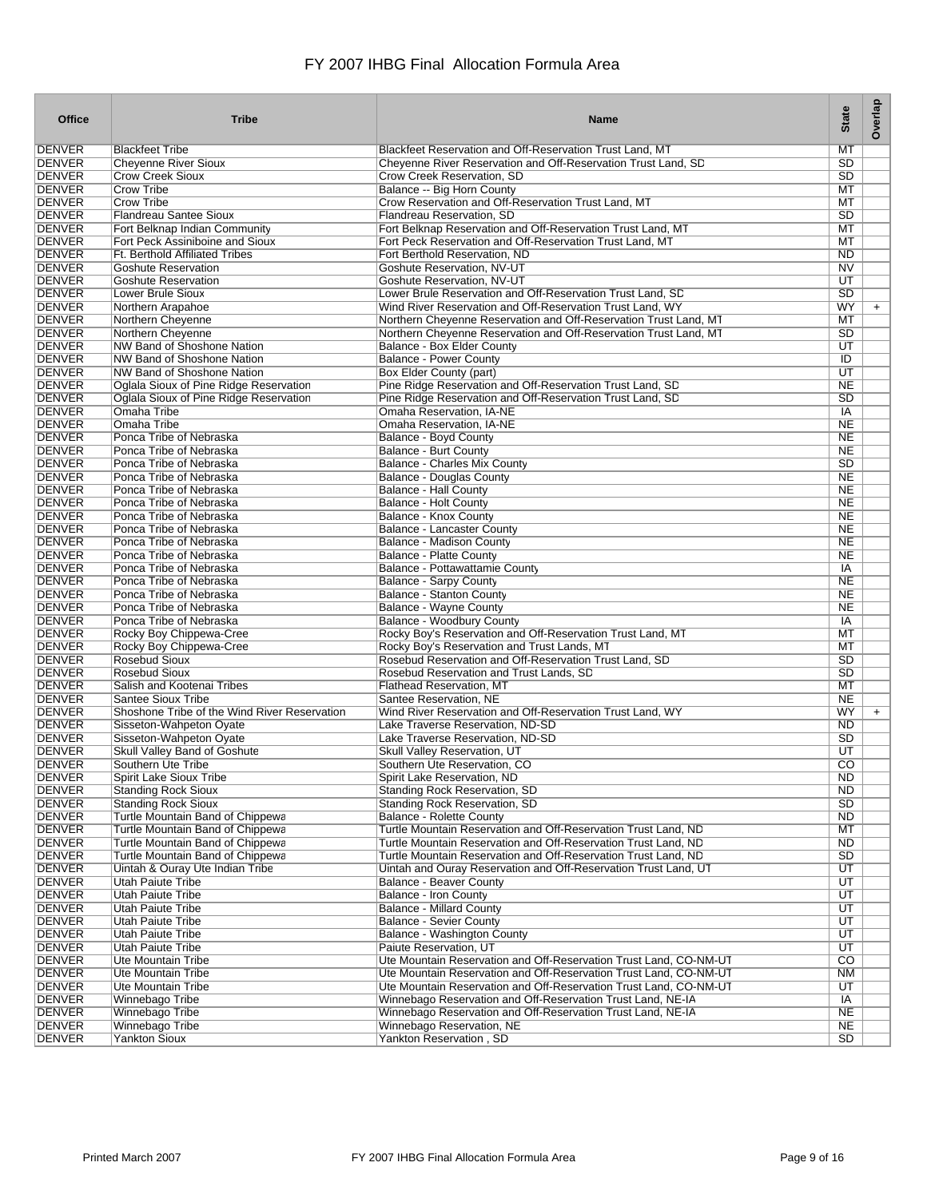| <b>Office</b>                  | <b>Tribe</b>                                                     | <b>Name</b>                                                                                               | <b>State</b>           | Overlap |
|--------------------------------|------------------------------------------------------------------|-----------------------------------------------------------------------------------------------------------|------------------------|---------|
| <b>DENVER</b>                  | <b>Blackfeet Tribe</b>                                           | Blackfeet Reservation and Off-Reservation Trust Land, MT                                                  | MT                     |         |
| <b>DENVER</b>                  | <b>Cheyenne River Sioux</b>                                      | Cheyenne River Reservation and Off-Reservation Trust Land, SD                                             | SD                     |         |
| <b>DENVER</b>                  | <b>Crow Creek Sioux</b>                                          | Crow Creek Reservation, SD                                                                                | SD                     |         |
| <b>DENVER</b>                  | <b>Crow Tribe</b>                                                | Balance -- Big Horn County                                                                                | MT                     |         |
| <b>DENVER</b>                  | <b>Crow Tribe</b>                                                | Crow Reservation and Off-Reservation Trust Land, MT                                                       | МT                     |         |
| <b>DENVER</b><br><b>DENVER</b> | <b>Flandreau Santee Sioux</b>                                    | Flandreau Reservation, SD<br>Fort Belknap Reservation and Off-Reservation Trust Land, MT                  | SD<br>MT               |         |
| <b>DENVER</b>                  | Fort Belknap Indian Community<br>Fort Peck Assiniboine and Sioux | Fort Peck Reservation and Off-Reservation Trust Land, MT                                                  | МT                     |         |
| <b>DENVER</b>                  | <b>Ft. Berthold Affiliated Tribes</b>                            | Fort Berthold Reservation, ND                                                                             | <b>ND</b>              |         |
| <b>DENVER</b>                  | <b>Goshute Reservation</b>                                       | Goshute Reservation, NV-UT                                                                                | N <sub>V</sub>         |         |
| <b>DENVER</b>                  | <b>Goshute Reservation</b>                                       | Goshute Reservation, NV-UT                                                                                | UT                     |         |
| <b>DENVER</b>                  | Lower Brule Sioux                                                | Lower Brule Reservation and Off-Reservation Trust Land, SD                                                | SD                     |         |
| <b>DENVER</b>                  | Northern Arapahoe                                                | Wind River Reservation and Off-Reservation Trust Land, WY                                                 | WY                     | $+$     |
| <b>DENVER</b>                  | Northern Cheyenne                                                | Northern Cheyenne Reservation and Off-Reservation Trust Land, MT                                          | МT                     |         |
| <b>DENVER</b>                  | Northern Cheyenne                                                | Northern Cheyenne Reservation and Off-Reservation Trust Land, MT                                          | SD                     |         |
| <b>DENVER</b><br><b>DENVER</b> | NW Band of Shoshone Nation                                       | Balance - Box Elder County<br><b>Balance - Power County</b>                                               | UT<br>ID               |         |
| <b>DENVER</b>                  | NW Band of Shoshone Nation<br>NW Band of Shoshone Nation         | <b>Box Elder County (part)</b>                                                                            | UT                     |         |
| <b>DENVER</b>                  | Oglala Sioux of Pine Ridge Reservation                           | Pine Ridge Reservation and Off-Reservation Trust Land, SD                                                 | <b>NE</b>              |         |
| <b>DENVER</b>                  | Oglala Sioux of Pine Ridge Reservation                           | Pine Ridge Reservation and Off-Reservation Trust Land, SD                                                 | SD                     |         |
| <b>DENVER</b>                  | Omaha Tribe                                                      | Omaha Reservation, IA-NE                                                                                  | IA                     |         |
| <b>DENVER</b>                  | Omaha Tribe                                                      | Omaha Reservation, IA-NE                                                                                  | <b>NE</b>              |         |
| <b>DENVER</b>                  | Ponca Tribe of Nebraska                                          | <b>Balance - Boyd County</b>                                                                              | <b>NE</b>              |         |
| <b>DENVER</b>                  | Ponca Tribe of Nebraska                                          | Balance - Burt County                                                                                     | <b>NE</b>              |         |
| <b>DENVER</b>                  | Ponca Tribe of Nebraska                                          | <b>Balance - Charles Mix County</b>                                                                       | SD                     |         |
| <b>DENVER</b>                  | Ponca Tribe of Nebraska                                          | <b>Balance - Douglas County</b>                                                                           | <b>NE</b>              |         |
| <b>DENVER</b>                  | Ponca Tribe of Nebraska                                          | <b>Balance - Hall County</b>                                                                              | <b>NE</b><br><b>NE</b> |         |
| <b>DENVER</b><br><b>DENVER</b> | Ponca Tribe of Nebraska<br>Ponca Tribe of Nebraska               | <b>Balance - Holt County</b><br>Balance - Knox County                                                     | <b>NE</b>              |         |
| <b>DENVER</b>                  | Ponca Tribe of Nebraska                                          | Balance - Lancaster County                                                                                | <b>NE</b>              |         |
| <b>DENVER</b>                  | Ponca Tribe of Nebraska                                          | Balance - Madison County                                                                                  | <b>NE</b>              |         |
| <b>DENVER</b>                  | Ponca Tribe of Nebraska                                          | <b>Balance - Platte County</b>                                                                            | <b>NE</b>              |         |
| <b>DENVER</b>                  | Ponca Tribe of Nebraska                                          | Balance - Pottawattamie County                                                                            | IA                     |         |
| <b>DENVER</b>                  | Ponca Tribe of Nebraska                                          | <b>Balance - Sarpy County</b>                                                                             | <b>NE</b>              |         |
| <b>DENVER</b>                  | Ponca Tribe of Nebraska                                          | <b>Balance - Stanton County</b>                                                                           | <b>NE</b>              |         |
| <b>DENVER</b>                  | Ponca Tribe of Nebraska                                          | <b>Balance - Wayne County</b>                                                                             | <b>NE</b>              |         |
| <b>DENVER</b><br><b>DENVER</b> | Ponca Tribe of Nebraska                                          | Balance - Woodbury County                                                                                 | $\overline{IA}$        |         |
| <b>DENVER</b>                  | Rocky Boy Chippewa-Cree<br>Rocky Boy Chippewa-Cree               | Rocky Boy's Reservation and Off-Reservation Trust Land, MT<br>Rocky Boy's Reservation and Trust Lands, MT | МT<br>МT               |         |
| <b>DENVER</b>                  | <b>Rosebud Sioux</b>                                             | Rosebud Reservation and Off-Reservation Trust Land, SD                                                    | SD                     |         |
| <b>DENVER</b>                  | <b>Rosebud Sioux</b>                                             | Rosebud Reservation and Trust Lands, SD                                                                   | SD                     |         |
| <b>DENVER</b>                  | Salish and Kootenai Tribes                                       | <b>Flathead Reservation, MT</b>                                                                           | MT                     |         |
| <b>DENVER</b>                  | <b>Santee Sioux Tribe</b>                                        | Santee Reservation, NE                                                                                    | <b>NE</b>              |         |
| <b>DENVER</b>                  | Shoshone Tribe of the Wind River Reservation                     | Wind River Reservation and Off-Reservation Trust Land, WY                                                 | WY                     | $+$     |
| <b>DENVER</b>                  | Sisseton-Wahpeton Oyate                                          | Lake Traverse Reservation, ND-SD                                                                          | <b>ND</b>              |         |
| <b>DENVER</b>                  | Sisseton-Wahpeton Oyate                                          | Lake Traverse Reservation, ND-SD                                                                          | SD                     |         |
| <b>DENVER</b><br><b>DENVER</b> | Skull Valley Band of Goshute                                     | Skull Valley Reservation, UT<br>Southern Ute Reservation, CO                                              | UT<br>$\overline{CO}$  |         |
|                                | Southern Ute Tribe                                               |                                                                                                           |                        |         |
| DENVER<br><b>DENVER</b>        | Spirit Lake Sioux Tribe<br><b>Standing Rock Sioux</b>            | Spirit Lake Reservation, ND<br>Standing Rock Reservation, SD                                              | ND.<br><b>ND</b>       |         |
| <b>DENVER</b>                  | <b>Standing Rock Sioux</b>                                       | <b>Standing Rock Reservation, SD</b>                                                                      | SD                     |         |
| <b>DENVER</b>                  | Turtle Mountain Band of Chippewa                                 | <b>Balance - Rolette County</b>                                                                           | ND                     |         |
| <b>DENVER</b>                  | Turtle Mountain Band of Chippewa                                 | Turtle Mountain Reservation and Off-Reservation Trust Land, ND                                            | MT                     |         |
| <b>DENVER</b>                  | Turtle Mountain Band of Chippewa                                 | Turtle Mountain Reservation and Off-Reservation Trust Land, ND                                            | ND                     |         |
| <b>DENVER</b>                  | Turtle Mountain Band of Chippewa                                 | Turtle Mountain Reservation and Off-Reservation Trust Land, ND                                            | $\overline{SD}$        |         |
| <b>DENVER</b>                  | Uintah & Ouray Ute Indian Tribe                                  | Uintah and Ouray Reservation and Off-Reservation Trust Land, UT                                           | UT                     |         |
| <b>DENVER</b><br><b>DENVER</b> | Utah Paiute Tribe<br><b>Utah Paiute Tribe</b>                    | <b>Balance - Beaver County</b><br><b>Balance - Iron County</b>                                            | UT<br>UT               |         |
| <b>DENVER</b>                  | <b>Utah Paiute Tribe</b>                                         | <b>Balance - Millard County</b>                                                                           | UT                     |         |
| <b>DENVER</b>                  | Utah Paiute Tribe                                                | <b>Balance - Sevier County</b>                                                                            | $\overline{UT}$        |         |
| <b>DENVER</b>                  | Utah Paiute Tribe                                                | Balance - Washington County                                                                               | UT                     |         |
| <b>DENVER</b>                  | Utah Paiute Tribe                                                | Paiute Reservation, UT                                                                                    | UT                     |         |
| <b>DENVER</b>                  | Ute Mountain Tribe                                               | Ute Mountain Reservation and Off-Reservation Trust Land, CO-NM-UT                                         | $\overline{co}$        |         |
| <b>DENVER</b>                  | <b>Ute Mountain Tribe</b>                                        | Ute Mountain Reservation and Off-Reservation Trust Land, CO-NM-UT                                         | <b>NM</b>              |         |
| <b>DENVER</b>                  | <b>Ute Mountain Tribe</b>                                        | Ute Mountain Reservation and Off-Reservation Trust Land, CO-NM-UT                                         | UT                     |         |
| <b>DENVER</b>                  | Winnebago Tribe                                                  | Winnebago Reservation and Off-Reservation Trust Land, NE-IA                                               | IA                     |         |
| <b>DENVER</b><br><b>DENVER</b> | Winnebago Tribe<br>Winnebago Tribe                               | Winnebago Reservation and Off-Reservation Trust Land, NE-IA<br>Winnebago Reservation, NE                  | <b>NE</b><br><b>NE</b> |         |
| <b>DENVER</b>                  | <b>Yankton Sioux</b>                                             | Yankton Reservation, SD                                                                                   | SD                     |         |
|                                |                                                                  |                                                                                                           |                        |         |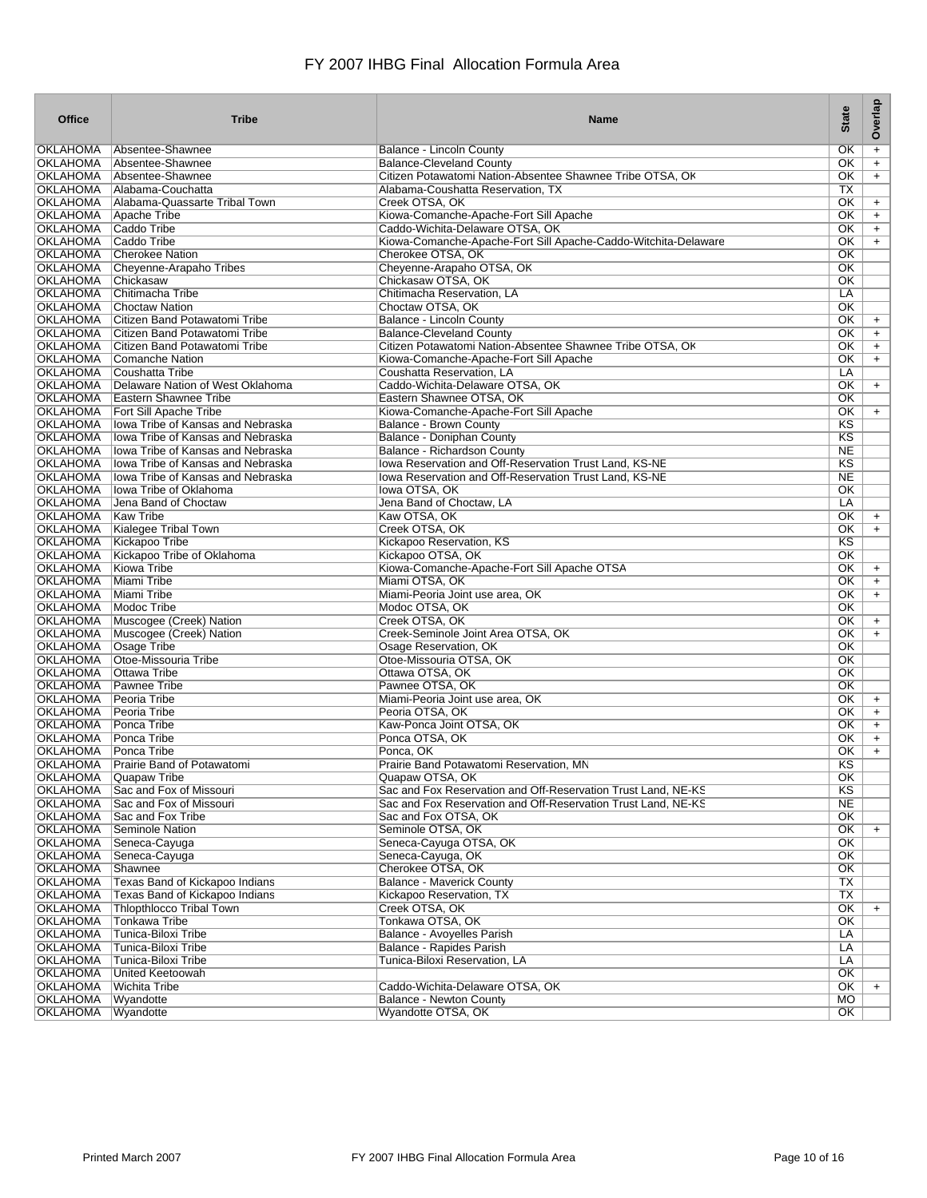| Office                             | <b>Tribe</b>                                                   | <b>Name</b>                                                                                  | <b>State</b>                                     | Overlap    |
|------------------------------------|----------------------------------------------------------------|----------------------------------------------------------------------------------------------|--------------------------------------------------|------------|
| OKLAHOMA                           | Absentee-Shawnee                                               | Balance - Lincoln County                                                                     | OK                                               | $+$        |
| OKLAHOMA                           | Absentee-Shawnee                                               | <b>Balance-Cleveland County</b>                                                              | OK                                               | $+$        |
| OKLAHOMA                           | Absentee-Shawnee                                               | Citizen Potawatomi Nation-Absentee Shawnee Tribe OTSA, Ok                                    | OK                                               | $+$        |
| <b>OKLAHOMA</b>                    | Alabama-Couchatta                                              | Alabama-Coushatta Reservation, TX                                                            | TX                                               |            |
| OKLAHOMA                           | Alabama-Quassarte Tribal Town                                  | Creek OTSA, OK                                                                               | OK                                               | $+$        |
| OKLAHOMA                           | Apache Tribe                                                   | Kiowa-Comanche-Apache-Fort Sill Apache                                                       | OK                                               | $+$        |
| <b>OKLAHOMA</b>                    | Caddo Tribe                                                    | Caddo-Wichita-Delaware OTSA, OK                                                              | $\overline{\text{OK}}$                           | $+$        |
| <b>OKLAHOMA</b>                    | Caddo Tribe                                                    | Kiowa-Comanche-Apache-Fort Sill Apache-Caddo-Witchita-Delaware                               | $\overline{\text{OK}}$                           | $+$        |
| <b>OKLAHOMA</b>                    | <b>Cherokee Nation</b>                                         | Cherokee OTSA, OK                                                                            | $\overline{\text{OK}}$                           |            |
| <b>OKLAHOMA</b>                    | Cheyenne-Arapaho Tribes                                        | Cheyenne-Arapaho OTSA, OK                                                                    | $\overline{\text{OK}}$                           |            |
| <b>OKLAHOMA</b>                    | Chickasaw                                                      | Chickasaw OTSA, OK                                                                           | $\overline{\text{OK}}$                           |            |
| <b>OKLAHOMA</b>                    | Chitimacha Tribe                                               | Chitimacha Reservation, LA                                                                   | LA                                               |            |
| <b>OKLAHOMA</b>                    | Choctaw Nation                                                 | Choctaw OTSA, OK                                                                             | OK                                               |            |
| OKLAHOMA<br><b>OKLAHOMA</b>        | Citizen Band Potawatomi Tribe                                  | Balance - Lincoln County                                                                     | OK<br>$\overline{\text{OK}}$                     | $+$        |
| <b>OKLAHOMA</b>                    | Citizen Band Potawatomi Tribe<br>Citizen Band Potawatomi Tribe | <b>Balance-Cleveland County</b><br>Citizen Potawatomi Nation-Absentee Shawnee Tribe OTSA, Ok | $\overline{\text{OK}}$                           | $+$        |
| <b>OKLAHOMA</b>                    | Comanche Nation                                                | Kiowa-Comanche-Apache-Fort Sill Apache                                                       | OK                                               | $+$<br>$+$ |
| <b>OKLAHOMA</b>                    | Coushatta Tribe                                                | Coushatta Reservation, LA                                                                    | LA                                               |            |
| OKLAHOMA                           | Delaware Nation of West Oklahoma                               | Caddo-Wichita-Delaware OTSA, OK                                                              | $\overline{\text{OK}}$                           | $+$        |
| OKLAHOMA                           | Eastern Shawnee Tribe                                          | Eastern Shawnee OTSA, OK                                                                     | $\overline{\text{OK}}$                           |            |
| OKLAHOMA                           | Fort Sill Apache Tribe                                         | Kiowa-Comanche-Apache-Fort Sill Apache                                                       | OK                                               | $+$        |
| <b>OKLAHOMA</b>                    | <b>Iowa Tribe of Kansas and Nebraska</b>                       | <b>Balance - Brown County</b>                                                                | KS                                               |            |
| <b>OKLAHOMA</b>                    | Iowa Tribe of Kansas and Nebraska                              | <b>Balance - Doniphan County</b>                                                             | KS                                               |            |
| <b>OKLAHOMA</b>                    | <b>Iowa Tribe of Kansas and Nebraska</b>                       | Balance - Richardson County                                                                  | <b>NE</b>                                        |            |
| <b>OKLAHOMA</b>                    | lowa Tribe of Kansas and Nebraska                              | Iowa Reservation and Off-Reservation Trust Land, KS-NE                                       | K <sub>S</sub>                                   |            |
| <b>OKLAHOMA</b>                    | Jowa Tribe of Kansas and Nebraska                              | <b>Iowa Reservation and Off-Reservation Trust Land, KS-NE</b>                                | <b>NE</b>                                        |            |
| <b>OKLAHOMA</b>                    | Iowa Tribe of Oklahoma                                         | lowa OTSA, OK                                                                                | $\overline{\text{OK}}$                           |            |
| <b>OKLAHOMA</b>                    | Jena Band of Choctaw                                           | Jena Band of Choctaw, LA                                                                     | LA                                               |            |
| <b>OKLAHOMA</b>                    | Kaw Tribe                                                      | Kaw OTSA, OK                                                                                 | $\overline{\text{OK}}$                           | $+$        |
| <b>OKLAHOMA</b>                    | Kialegee Tribal Town                                           | Creek OTSA, OK                                                                               | OK                                               | $+$        |
| OKLAHOMA                           | Kickapoo Tribe                                                 | Kickapoo Reservation, KS                                                                     | KS                                               |            |
| <b>OKLAHOMA</b>                    | Kickapoo Tribe of Oklahoma                                     | Kickapoo OTSA, OK                                                                            | $\overline{\text{OK}}$                           |            |
| <b>OKLAHOMA</b>                    | Kiowa Tribe                                                    | Kiowa-Comanche-Apache-Fort Sill Apache OTSA                                                  | $\overline{\text{OK}}$                           | $+$        |
| <b>OKLAHOMA</b>                    | Miami Tribe                                                    | Miami OTSA, OK                                                                               | OK                                               | $+$        |
| <b>OKLAHOMA</b>                    | Miami Tribe                                                    | Miami-Peoria Joint use area, OK                                                              | OK                                               | $+$        |
| <b>OKLAHOMA</b>                    | Modoc Tribe                                                    | Modoc OTSA, OK                                                                               | $\overline{\text{OK}}$                           |            |
| <b>OKLAHOMA</b>                    | Muscogee (Creek) Nation                                        | Creek OTSA, OK                                                                               | $\overline{\text{OK}}$                           | $+$        |
| <b>OKLAHOMA</b>                    | Muscogee (Creek) Nation                                        | Creek-Seminole Joint Area OTSA, OK                                                           | OK                                               | $+$        |
| OKLAHOMA                           | <b>Osage Tribe</b>                                             | Osage Reservation, OK                                                                        | OK                                               |            |
| <b>OKLAHOMA</b><br><b>OKLAHOMA</b> | Otoe-Missouria Tribe<br><b>Ottawa Tribe</b>                    | Otoe-Missouria OTSA, OK<br>Ottawa OTSA, OK                                                   | $\overline{\text{OK}}$<br>$\overline{\text{OK}}$ |            |
| <b>OKLAHOMA</b>                    | <b>Pawnee Tribe</b>                                            | Pawnee OTSA, OK                                                                              | $\overline{\text{OK}}$                           |            |
| <b>OKLAHOMA</b>                    | Peoria Tribe                                                   | Miami-Peoria Joint use area, OK                                                              | $\overline{\text{OK}}$                           | $+$        |
| <b>OKLAHOMA</b>                    | Peoria Tribe                                                   | Peoria OTSA, OK                                                                              | OK                                               | $+$        |
| OKLAHOMA                           | Ponca Tribe                                                    | Kaw-Ponca Joint OTSA, OK                                                                     | OK                                               | $+$        |
| <b>OKLAHOMA</b>                    | Ponca Tribe                                                    | Ponca OTSA, OK                                                                               | OK                                               | $\ddot{}$  |
| <b>OKLAHOMA</b>                    | Ponca Tribe                                                    | Ponca, OK                                                                                    | OK                                               | $+$        |
| OKLAHOMA                           | Prairie Band of Potawatomi                                     | Prairie Band Potawatomi Reservation, MN                                                      | KS                                               |            |
| OKLAHOMA                           | Quapaw Tribe                                                   | Quapaw OTSA, OK                                                                              | OK.                                              |            |
| <b>OKLAHOMA</b>                    | Sac and Fox of Missouri                                        | Sac and Fox Reservation and Off-Reservation Trust Land, NE-KS                                | K <sub>S</sub>                                   |            |
| <b>OKLAHOMA</b>                    | Sac and Fox of Missouri                                        | Sac and Fox Reservation and Off-Reservation Trust Land, NE-KS                                | <b>NE</b>                                        |            |
| <b>OKLAHOMA</b>                    | Sac and Fox Tribe                                              | Sac and Fox OTSA, OK                                                                         | $\overline{OK}$                                  |            |
| <b>OKLAHOMA</b>                    | <b>Seminole Nation</b>                                         | Seminole OTSA, OK                                                                            | OK                                               | $+$        |
| <b>OKLAHOMA</b>                    | Seneca-Cayuga                                                  | Seneca-Cayuga OTSA, OK                                                                       | OK                                               |            |
| <b>OKLAHOMA</b>                    | Seneca-Cayuga                                                  | Seneca-Cayuga, OK                                                                            | $\overline{\text{OK}}$                           |            |
| <b>OKLAHOMA</b>                    | Shawnee                                                        | Cherokee OTSA, OK                                                                            | OK                                               |            |
| <b>OKLAHOMA</b>                    | Texas Band of Kickapoo Indians                                 | <b>Balance - Maverick County</b>                                                             | TX                                               |            |
| <b>OKLAHOMA</b>                    | Texas Band of Kickapoo Indians                                 | Kickapoo Reservation, TX                                                                     | TX                                               |            |
| <b>OKLAHOMA</b>                    | <b>Thlopthlocco Tribal Town</b>                                | Creek OTSA, OK                                                                               | $\overline{\text{OK}}$                           | $+$        |
| <b>OKLAHOMA</b>                    | <b>Tonkawa Tribe</b>                                           | Tonkawa OTSA, OK                                                                             | $\overline{OK}$                                  |            |
| <b>OKLAHOMA</b>                    | Tunica-Biloxi Tribe                                            | Balance - Avoyelles Parish                                                                   | LA                                               |            |
| <b>OKLAHOMA</b>                    | Tunica-Biloxi Tribe                                            | Balance - Rapides Parish                                                                     | LA                                               |            |
| <b>OKLAHOMA</b>                    | Tunica-Biloxi Tribe                                            | Tunica-Biloxi Reservation, LA                                                                | LA                                               |            |
| <b>OKLAHOMA</b>                    | United Keetoowah                                               |                                                                                              | $\overline{\text{OK}}$                           |            |
| <b>OKLAHOMA</b>                    | <b>Wichita Tribe</b>                                           | Caddo-Wichita-Delaware OTSA, OK                                                              | OK                                               | $+$        |
| <b>OKLAHOMA</b>                    | Wyandotte                                                      | <b>Balance - Newton County</b>                                                               | <b>MO</b>                                        |            |
| <b>OKLAHOMA</b>                    | Wyandotte                                                      | Wyandotte OTSA, OK                                                                           | OK                                               |            |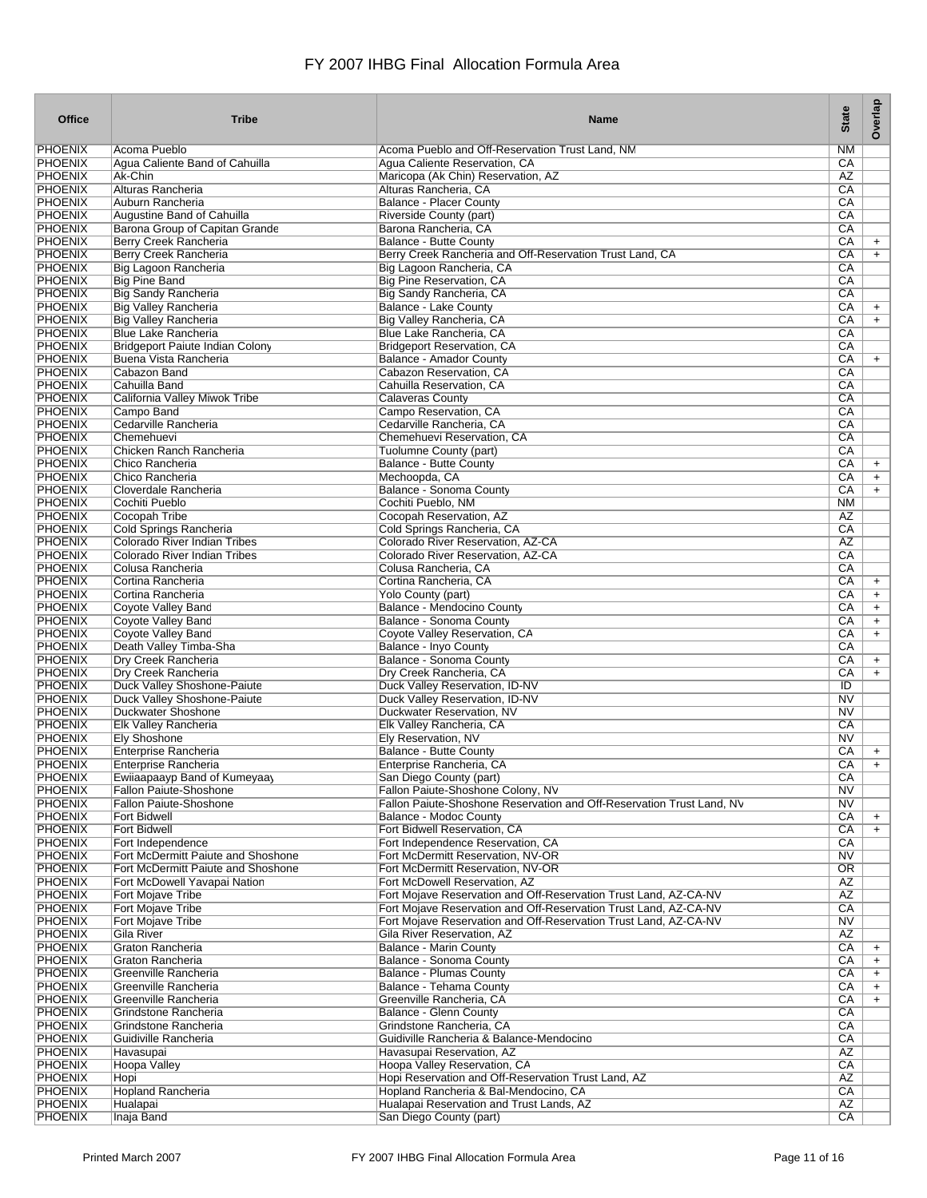| <b>Office</b>                    | <b>Tribe</b>                                               | <b>Name</b>                                                                       | <b>State</b>                        | Overlap                |
|----------------------------------|------------------------------------------------------------|-----------------------------------------------------------------------------------|-------------------------------------|------------------------|
| <b>PHOENIX</b>                   | Acoma Pueblo                                               | Acoma Pueblo and Off-Reservation Trust Land, NM                                   | <b>NM</b>                           |                        |
| <b>PHOENIX</b>                   | Agua Caliente Band of Cahuilla                             | Agua Caliente Reservation, CA                                                     | CA                                  |                        |
| <b>PHOENIX</b>                   | Ak-Chin                                                    | Maricopa (Ak Chin) Reservation, AZ                                                | AZ                                  |                        |
| <b>PHOENIX</b>                   | Alturas Rancheria                                          | Alturas Rancheria, CA                                                             | CA                                  |                        |
| <b>PHOENIX</b><br><b>PHOENIX</b> | Auburn Rancheria<br>Augustine Band of Cahuilla             | <b>Balance - Placer County</b><br>Riverside County (part)                         | СA<br>CA                            |                        |
| <b>PHOENIX</b>                   | Barona Group of Capitan Grande                             | Barona Rancheria, CA                                                              | CA                                  |                        |
| <b>PHOENIX</b>                   | <b>Berry Creek Rancheria</b>                               | <b>Balance - Butte County</b>                                                     | СA                                  | $+$                    |
| <b>PHOENIX</b>                   | <b>Berry Creek Rancheria</b>                               | Berry Creek Rancheria and Off-Reservation Trust Land, CA                          | СA                                  | $+$                    |
| <b>PHOENIX</b>                   | Big Lagoon Rancheria                                       | Big Lagoon Rancheria, CA                                                          | CA                                  |                        |
| <b>PHOENIX</b>                   | <b>Big Pine Band</b>                                       | <b>Big Pine Reservation, CA</b>                                                   | CA                                  |                        |
| <b>PHOENIX</b>                   | <b>Big Sandy Rancheria</b>                                 | Big Sandy Rancheria, CA                                                           | CA                                  |                        |
| <b>PHOENIX</b><br><b>PHOENIX</b> | <b>Big Valley Rancheria</b><br><b>Big Valley Rancheria</b> | <b>Balance - Lake County</b><br>Big Valley Rancheria, CA                          | СA<br>CA                            | $\ddot{}$<br>$\ddot{}$ |
| <b>PHOENIX</b>                   | <b>Blue Lake Rancheria</b>                                 | Blue Lake Rancheria, CA                                                           | CA                                  |                        |
| <b>PHOENIX</b>                   | Bridgeport Paiute Indian Colony                            | <b>Bridgeport Reservation, CA</b>                                                 | CA                                  |                        |
| <b>PHOENIX</b>                   | Buena Vista Rancheria                                      | <b>Balance - Amador County</b>                                                    | СA                                  | $\ddot{}$              |
| <b>PHOENIX</b>                   | Cabazon Band                                               | Cabazon Reservation, CA                                                           | CA                                  |                        |
| <b>PHOENIX</b>                   | Cahuilla Band                                              | Cahuilla Reservation, CA                                                          | CA                                  |                        |
| <b>PHOENIX</b>                   | California Valley Miwok Tribe                              | Calaveras County                                                                  | СA                                  |                        |
| <b>PHOENIX</b>                   | Campo Band                                                 | Campo Reservation, CA                                                             | CA                                  |                        |
| <b>PHOENIX</b><br><b>PHOENIX</b> | Cedarville Rancheria<br>Chemehuevi                         | Cedarville Rancheria, CA<br>Chemehuevi Reservation, CA                            | СA<br>CA                            |                        |
| <b>PHOENIX</b>                   | Chicken Ranch Rancheria                                    | Tuolumne County (part)                                                            | CA                                  |                        |
| <b>PHOENIX</b>                   | Chico Rancheria                                            | <b>Balance - Butte County</b>                                                     | CA                                  | $\ddot{}$              |
| <b>PHOENIX</b>                   | Chico Rancheria                                            | Mechoopda, CA                                                                     | СA                                  | $+$                    |
| <b>PHOENIX</b>                   | Cloverdale Rancheria                                       | <b>Balance - Sonoma County</b>                                                    | CA                                  | $+$                    |
| <b>PHOENIX</b>                   | Cochiti Pueblo                                             | Cochiti Pueblo, NM                                                                | <b>NM</b>                           |                        |
| <b>PHOENIX</b>                   | Cocopah Tribe                                              | Cocopah Reservation, AZ                                                           | AZ                                  |                        |
| <b>PHOENIX</b>                   | Cold Springs Rancheria                                     | Cold Springs Rancheria, CA                                                        | CA                                  |                        |
| <b>PHOENIX</b><br><b>PHOENIX</b> | Colorado River Indian Tribes                               | Colorado River Reservation, AZ-CA<br>Colorado River Reservation, AZ-CA            | AZ<br>CA                            |                        |
| <b>PHOENIX</b>                   | Colorado River Indian Tribes<br>Colusa Rancheria           | Colusa Rancheria, CA                                                              | СA                                  |                        |
| <b>PHOENIX</b>                   | Cortina Rancheria                                          | Cortina Rancheria, CA                                                             | СA                                  | $\ddot{}$              |
| <b>PHOENIX</b>                   | Cortina Rancheria                                          | Yolo County (part)                                                                | СA                                  | $\ddot{}$              |
| <b>PHOENIX</b>                   | Coyote Valley Band                                         | <b>Balance - Mendocino County</b>                                                 | СA                                  | $\ddot{}$              |
| <b>PHOENIX</b>                   | Coyote Valley Band                                         | <b>Balance - Sonoma County</b>                                                    | CA                                  | $\ddot{}$              |
| <b>PHOENIX</b>                   | Coyote Valley Band                                         | Coyote Valley Reservation, CA                                                     | СA                                  | $\ddot{}$              |
| <b>PHOENIX</b>                   | Death Valley Timba-Sha                                     | Balance - Inyo County                                                             | СA                                  |                        |
| <b>PHOENIX</b><br><b>PHOENIX</b> | Dry Creek Rancheria<br>Dry Creek Rancheria                 | <b>Balance - Sonoma County</b><br>Dry Creek Rancheria, CA                         | СA<br>CA                            | $\ddot{}$<br>$\ddot{}$ |
| PHOENIX                          | Duck Valley Shoshone-Paiute                                | Duck Valley Reservation, ID-NV                                                    | ID                                  |                        |
| <b>PHOENIX</b>                   | Duck Valley Shoshone-Paiute                                | Duck Valley Reservation, ID-NV                                                    | $\overline{\text{NV}}$              |                        |
| <b>PHOENIX</b>                   | Duckwater Shoshone                                         | Duckwater Reservation, NV                                                         | N <sub>V</sub>                      |                        |
| <b>PHOENIX</b>                   | <b>Elk Valley Rancheria</b>                                | Elk Valley Rancheria, CA                                                          | СA                                  |                        |
| <b>PHOENIX</b>                   | <b>Ely Shoshone</b>                                        | Elv Reservation, NV                                                               | NV                                  |                        |
| <b>PHOENIX</b>                   | <b>Enterprise Rancheria</b>                                | <b>Balance - Butte County</b>                                                     | СA                                  | $\ddot{}$              |
| <b>PHOENIX</b>                   | Enterprise Rancheria                                       | Enterprise Rancheria, CA                                                          | CA                                  | $\ddot{}$              |
| PHOENIX<br><b>PHOENIX</b>        | Ewiiaapaayp Band of Kumeyaay<br>Fallon Paiute-Shoshone     | San Diego County (part)<br>Fallon Paiute-Shoshone Colony, NV                      | CA<br>N <sub>V</sub>                |                        |
| <b>PHOENIX</b>                   | Fallon Paiute-Shoshone                                     | Fallon Paiute-Shoshone Reservation and Off-Reservation Trust Land, NV             | N <sub>V</sub>                      |                        |
| <b>PHOENIX</b>                   | <b>Fort Bidwell</b>                                        | <b>Balance - Modoc County</b>                                                     | CA                                  | $+$                    |
| <b>PHOENIX</b>                   | <b>Fort Bidwell</b>                                        | Fort Bidwell Reservation, CA                                                      | CA                                  | $+$                    |
| <b>PHOENIX</b>                   | Fort Independence                                          | Fort Independence Reservation, CA                                                 | СA                                  |                        |
| <b>PHOENIX</b>                   | Fort McDermitt Paiute and Shoshone                         | Fort McDermitt Reservation, NV-OR                                                 | N <sub>V</sub>                      |                        |
| <b>PHOENIX</b><br><b>PHOENIX</b> | Fort McDermitt Paiute and Shoshone                         | Fort McDermitt Reservation, NV-OR<br>Fort McDowell Reservation, AZ                | $\overline{\text{OR}}$<br><b>AZ</b> |                        |
| <b>PHOENIX</b>                   | Fort McDowell Yavapai Nation<br><b>Fort Mojave Tribe</b>   | Fort Mojave Reservation and Off-Reservation Trust Land, AZ-CA-NV                  | AZ                                  |                        |
| <b>PHOENIX</b>                   | <b>Fort Mojave Tribe</b>                                   | Fort Mojave Reservation and Off-Reservation Trust Land, AZ-CA-NV                  | $\overline{CA}$                     |                        |
| <b>PHOENIX</b>                   | <b>Fort Mojave Tribe</b>                                   | Fort Mojave Reservation and Off-Reservation Trust Land, AZ-CA-NV                  | N <sub>V</sub>                      |                        |
| <b>PHOENIX</b>                   | Gila River                                                 | Gila River Reservation, AZ                                                        | AZ                                  |                        |
| <b>PHOENIX</b>                   | Graton Rancheria                                           | <b>Balance - Marin County</b>                                                     | CA                                  | $+$                    |
| <b>PHOENIX</b>                   | Graton Rancheria                                           | Balance - Sonoma County                                                           | СA                                  | $+$                    |
| <b>PHOENIX</b><br><b>PHOENIX</b> | Greenville Rancheria<br>Greenville Rancheria               | <b>Balance - Plumas County</b>                                                    | СA                                  | $\ddot{}$              |
| <b>PHOENIX</b>                   | Greenville Rancheria                                       | Balance - Tehama County<br>Greenville Rancheria, CA                               | СA<br>СA                            | $+$<br>$+$             |
| <b>PHOENIX</b>                   | Grindstone Rancheria                                       | <b>Balance - Glenn County</b>                                                     | СA                                  |                        |
| <b>PHOENIX</b>                   | Grindstone Rancheria                                       | Grindstone Rancheria, CA                                                          | CA                                  |                        |
| <b>PHOENIX</b>                   | Guidiville Rancheria                                       | Guidiville Rancheria & Balance-Mendocinc                                          | СA                                  |                        |
| <b>PHOENIX</b>                   | Havasupai                                                  | Havasupai Reservation, AZ                                                         | AZ                                  |                        |
| <b>PHOENIX</b>                   | Hoopa Valley                                               | Hoopa Valley Reservation, CA                                                      | CA                                  |                        |
| <b>PHOENIX</b>                   | Hopi                                                       | Hopi Reservation and Off-Reservation Trust Land, AZ                               | AZ                                  |                        |
| <b>PHOENIX</b><br><b>PHOENIX</b> | <b>Hopland Rancheria</b><br>Hualapai                       | Hopland Rancheria & Bal-Mendocino, CA<br>Hualapai Reservation and Trust Lands, AZ | CA<br>AZ                            |                        |
| <b>PHOENIX</b>                   | Inaja Band                                                 | San Diego County (part)                                                           | CA                                  |                        |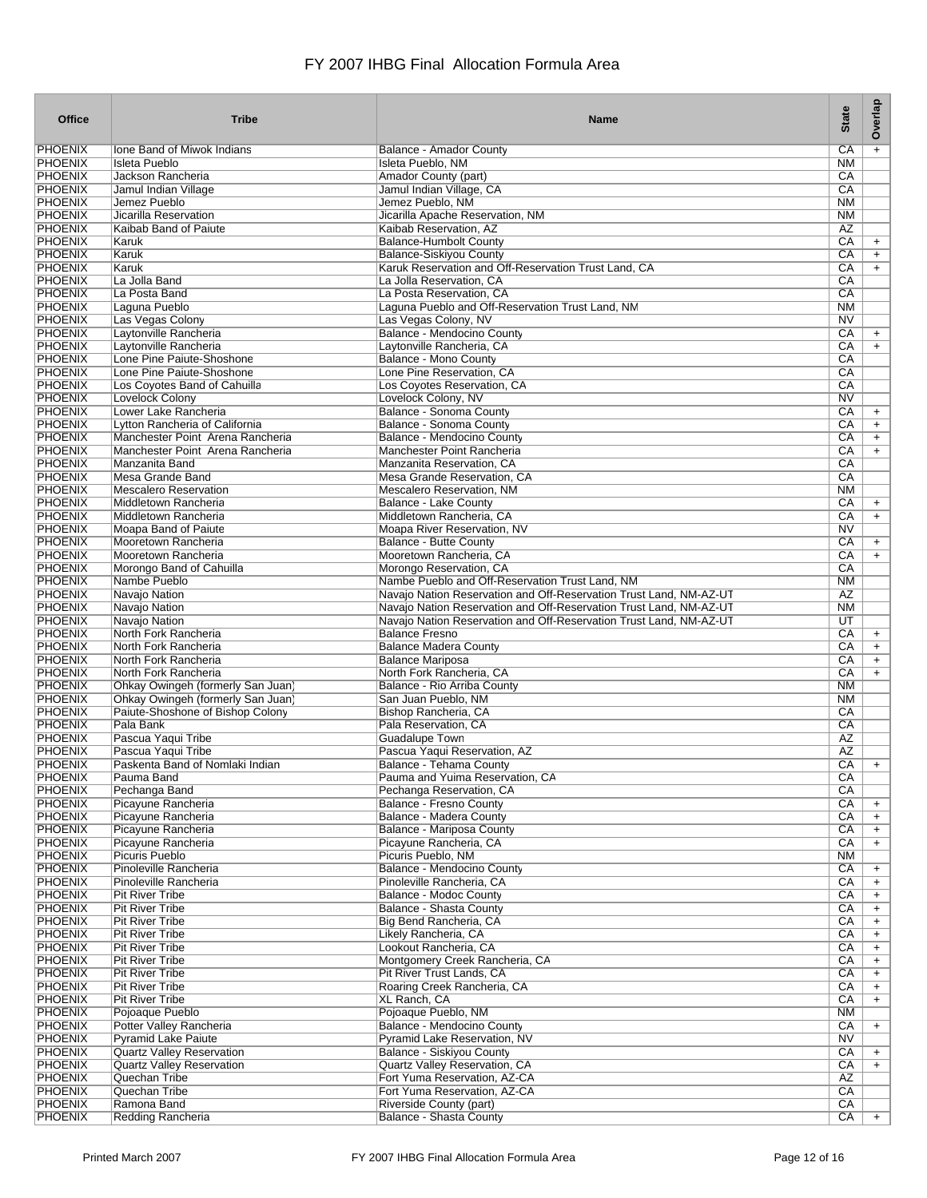| <b>Office</b>                    | <b>Tribe</b>                                                         | <b>Name</b>                                                        | <b>State</b>           | Overlap                |
|----------------------------------|----------------------------------------------------------------------|--------------------------------------------------------------------|------------------------|------------------------|
| <b>PHOENIX</b>                   | Ione Band of Miwok Indians                                           | Balance - Amador County                                            | $\overline{CA}$        | $+$                    |
| <b>PHOENIX</b>                   | <b>Isleta Pueblo</b>                                                 | Isleta Pueblo, NM                                                  | <b>NM</b>              |                        |
| <b>PHOENIX</b>                   | Jackson Rancheria                                                    | Amador County (part)                                               | CA                     |                        |
| <b>PHOENIX</b>                   | Jamul Indian Village                                                 | Jamul Indian Village, CA                                           | CA                     |                        |
| <b>PHOENIX</b><br><b>PHOENIX</b> | Jemez Pueblo<br>Jicarilla Reservation                                | Jemez Pueblo, NM<br>Jicarilla Apache Reservation, NM               | <b>NM</b><br><b>NM</b> |                        |
| <b>PHOENIX</b>                   | Kaibab Band of Paiute                                                | Kaibab Reservation, AZ                                             | AZ                     |                        |
| <b>PHOENIX</b>                   | Karuk                                                                | <b>Balance-Humbolt County</b>                                      | CA                     | $+$                    |
| <b>PHOENIX</b>                   | Karuk                                                                | <b>Balance-Siskiyou County</b>                                     | СA                     | $+$                    |
| <b>PHOENIX</b>                   | Karuk                                                                | Karuk Reservation and Off-Reservation Trust Land, CA               | CA                     | $+$                    |
| <b>PHOENIX</b>                   | La Jolla Band                                                        | La Jolla Reservation, CA                                           | CA                     |                        |
| <b>PHOENIX</b>                   | La Posta Band                                                        | La Posta Reservation, CA                                           | CA                     |                        |
| <b>PHOENIX</b><br><b>PHOENIX</b> | Laguna Pueblo                                                        | Laguna Pueblo and Off-Reservation Trust Land, NM                   | ΝM<br>N <sub>V</sub>   |                        |
| <b>PHOENIX</b>                   | Las Vegas Colony<br>Laytonville Rancheria                            | Las Vegas Colony, NV<br><b>Balance - Mendocino County</b>          | CA                     | $\ddot{}$              |
| <b>PHOENIX</b>                   | Laytonville Rancheria                                                | Laytonville Rancheria, CA                                          | CA                     | $+$                    |
| <b>PHOENIX</b>                   | Lone Pine Paiute-Shoshone                                            | <b>Balance - Mono County</b>                                       | СA                     |                        |
| <b>PHOENIX</b>                   | Lone Pine Paiute-Shoshone                                            | Lone Pine Reservation, CA                                          | CA                     |                        |
| <b>PHOENIX</b>                   | Los Coyotes Band of Cahuilla                                         | Los Coyotes Reservation, CA                                        | CA                     |                        |
| <b>PHOENIX</b>                   | Lovelock Colony                                                      | Lovelock Colony, NV                                                | N <sub>V</sub>         |                        |
| PHOENIX                          | Lower Lake Rancheria                                                 | Balance - Sonoma County                                            | CA                     | $\ddot{}$              |
| <b>PHOENIX</b>                   | Lytton Rancheria of California                                       | Balance - Sonoma County                                            | CA                     | $+$                    |
| <b>PHOENIX</b><br><b>PHOENIX</b> | Manchester Point Arena Rancheria<br>Manchester Point Arena Rancheria | Balance - Mendocino County<br>Manchester Point Rancheria           | CA<br>СA               | $+$<br>$\ddot{}$       |
| <b>PHOENIX</b>                   | Manzanita Band                                                       | Manzanita Reservation, CA                                          | CA                     |                        |
| <b>PHOENIX</b>                   | Mesa Grande Band                                                     | Mesa Grande Reservation, CA                                        | СA                     |                        |
| <b>PHOENIX</b>                   | Mescalero Reservation                                                | Mescalero Reservation, NM                                          | <b>NM</b>              |                        |
| <b>PHOENIX</b>                   | Middletown Rancheria                                                 | Balance - Lake County                                              | СA                     | $\ddot{}$              |
| <b>PHOENIX</b>                   | Middletown Rancheria                                                 | Middletown Rancheria, CA                                           | CA                     | $+$                    |
| <b>PHOENIX</b>                   | Moapa Band of Paiute                                                 | Moapa River Reservation, NV                                        | NV                     |                        |
| <b>PHOENIX</b>                   | Mooretown Rancheria                                                  | Balance - Butte County                                             | CA                     | $\ddot{}$              |
| <b>PHOENIX</b><br><b>PHOENIX</b> | Mooretown Rancheria<br>Morongo Band of Cahuilla                      | Mooretown Rancheria, CA<br>Morongo Reservation, CA                 | CA<br>CA               | $\ddot{}$              |
| <b>PHOENIX</b>                   | Nambe Pueblo                                                         | Nambe Pueblo and Off-Reservation Trust Land, NM                    | <b>NM</b>              |                        |
| <b>PHOENIX</b>                   | Navajo Nation                                                        | Navajo Nation Reservation and Off-Reservation Trust Land, NM-AZ-UT | AZ                     |                        |
| <b>PHOENIX</b>                   | Navajo Nation                                                        | Navajo Nation Reservation and Off-Reservation Trust Land, NM-AZ-UT | NM                     |                        |
| <b>PHOENIX</b>                   | Navajo Nation                                                        | Navajo Nation Reservation and Off-Reservation Trust Land, NM-AZ-UT | UT                     |                        |
| <b>PHOENIX</b>                   | North Fork Rancheria                                                 | <b>Balance Fresno</b>                                              | СA                     | $\ddot{}$              |
| <b>PHOENIX</b>                   | North Fork Rancheria                                                 | <b>Balance Madera County</b>                                       | CA                     | $\ddot{}$              |
| <b>PHOENIX</b><br><b>PHOENIX</b> | North Fork Rancheria<br>North Fork Rancheria                         | <b>Balance Mariposa</b><br>North Fork Rancheria, CA                | CA<br>CA               | $\ddot{}$<br>$\ddot{}$ |
| PHOENIX                          | Ohkay Owingeh (formerly San Juan)                                    | Balance - Rio Arriba County                                        | <b>NM</b>              |                        |
| <b>PHOENIX</b>                   | Ohkay Owingeh (formerly San Juan)                                    | San Juan Pueblo, NM                                                | <b>NM</b>              |                        |
| <b>PHOENIX</b>                   | Paiute-Shoshone of Bishop Colony                                     | Bishop Rancheria, CA                                               | CA                     |                        |
| <b>PHOENIX</b>                   | Pala Bank                                                            | Pala Reservation, CA                                               | CA                     |                        |
| PHOENIX                          | Pascua Yaqui Tribe                                                   | <b>Guadalupe Town</b>                                              | AZ                     |                        |
| <b>PHOENIX</b>                   | Pascua Yaqui Tribe                                                   | Pascua Yaqui Reservation, AZ                                       | AZ                     |                        |
| <b>PHOENIX</b>                   | Paskenta Band of Nomlaki Indian                                      | Balance - Tehama County                                            | CA                     | $\ddot{}$              |
| <b>PHOENIX</b><br><b>PHOENIX</b> | Pauma Band<br>Pechanga Band                                          | Pauma and Yuima Reservation, CA<br>Pechanga Reservation, CA        | CA<br>CA               |                        |
| <b>PHOENIX</b>                   | Picayune Rancheria                                                   | <b>Balance - Fresno County</b>                                     | СA                     | $+$                    |
| <b>PHOENIX</b>                   | Picayune Rancheria                                                   | <b>Balance - Madera County</b>                                     | СA                     | $+$                    |
| <b>PHOENIX</b>                   | Picayune Rancheria                                                   | Balance - Mariposa County                                          | CA                     | $+$                    |
| <b>PHOENIX</b>                   | Picayune Rancheria                                                   | Picayune Rancheria, CA                                             | СA                     | $+$                    |
| <b>PHOENIX</b>                   | Picuris Pueblo                                                       | Picuris Pueblo, NM                                                 | ΝM                     |                        |
| <b>PHOENIX</b><br><b>PHOENIX</b> | Pinoleville Rancheria                                                | <b>Balance - Mendocino County</b><br>Pinoleville Rancheria, CA     | СA<br>СA               | $+$                    |
| <b>PHOENIX</b>                   | Pinoleville Rancheria<br><b>Pit River Tribe</b>                      | <b>Balance - Modoc County</b>                                      | СA                     | $\ddot{}$<br>$+$       |
| <b>PHOENIX</b>                   | <b>Pit River Tribe</b>                                               | <b>Balance - Shasta County</b>                                     | СA                     | $+$                    |
| <b>PHOENIX</b>                   | <b>Pit River Tribe</b>                                               | Big Bend Rancheria, CA                                             | СA                     | $+$                    |
| <b>PHOENIX</b>                   | <b>Pit River Tribe</b>                                               | Likely Rancheria, CA                                               | СA                     | $\ddot{}$              |
| <b>PHOENIX</b>                   | <b>Pit River Tribe</b>                                               | Lookout Rancheria, CA                                              | СA                     | $+$                    |
| <b>PHOENIX</b>                   | <b>Pit River Tribe</b>                                               | Montgomery Creek Rancheria, CA                                     | СA                     | $+$                    |
| <b>PHOENIX</b><br><b>PHOENIX</b> | <b>Pit River Tribe</b><br><b>Pit River Tribe</b>                     | Pit River Trust Lands, CA<br>Roaring Creek Rancheria, CA           | СA                     | $\ddot{}$              |
| <b>PHOENIX</b>                   | <b>Pit River Tribe</b>                                               | XL Ranch, CA                                                       | СA<br>СA               | $\ddot{}$<br>$+$       |
| <b>PHOENIX</b>                   | Pojoaque Pueblo                                                      | Pojoaque Pueblo, NM                                                | NM                     |                        |
| <b>PHOENIX</b>                   | Potter Valley Rancheria                                              | <b>Balance - Mendocino County</b>                                  | СA                     | $+$                    |
| <b>PHOENIX</b>                   | <b>Pyramid Lake Paiute</b>                                           | Pyramid Lake Reservation, NV                                       | N <sub>V</sub>         |                        |
| <b>PHOENIX</b>                   | <b>Quartz Valley Reservation</b>                                     | <b>Balance - Siskiyou County</b>                                   | СA                     | $+$                    |
| <b>PHOENIX</b>                   | <b>Quartz Valley Reservation</b>                                     | Quartz Valley Reservation, CA                                      | CA                     | $+$                    |
| <b>PHOENIX</b>                   | Quechan Tribe                                                        | Fort Yuma Reservation, AZ-CA                                       | AZ                     |                        |
| <b>PHOENIX</b><br><b>PHOENIX</b> | Quechan Tribe<br>Ramona Band                                         | Fort Yuma Reservation, AZ-CA<br>Riverside County (part)            | CA<br>CA               |                        |
| <b>PHOENIX</b>                   | Redding Rancheria                                                    | Balance - Shasta County                                            | CA                     | $+$                    |
|                                  |                                                                      |                                                                    |                        |                        |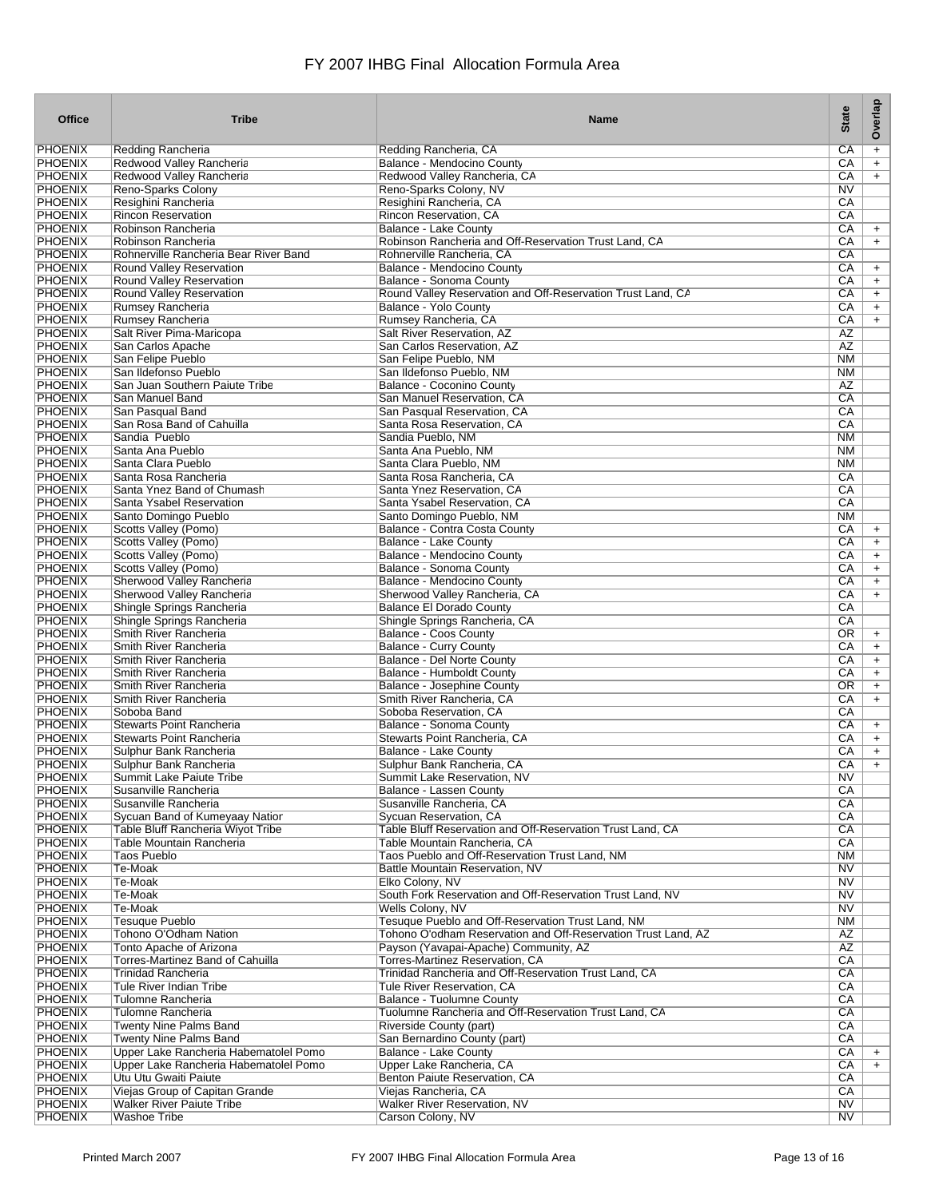| <b>Office</b>                    | <b>Tribe</b>                                                | <b>Name</b>                                                                        | <b>State</b>    | Overlap   |
|----------------------------------|-------------------------------------------------------------|------------------------------------------------------------------------------------|-----------------|-----------|
| <b>PHOENIX</b>                   | Redding Rancheria                                           | Redding Rancheria, CA                                                              | CA              | $\pmb{+}$ |
| <b>PHOENIX</b>                   | Redwood Valley Rancheria                                    | Balance - Mendocino County                                                         | CA              | $+$       |
| <b>PHOENIX</b>                   | Redwood Valley Rancheria                                    | Redwood Valley Rancheria, CA                                                       | СA              | $+$       |
| <b>PHOENIX</b>                   | Reno-Sparks Colony                                          | Reno-Sparks Colony, NV                                                             | N <sub>V</sub>  |           |
| <b>PHOENIX</b>                   | Resighini Rancheria                                         | Resighini Rancheria, CA                                                            | CA              |           |
| <b>PHOENIX</b>                   | <b>Rincon Reservation</b>                                   | Rincon Reservation, CA                                                             | CA              |           |
| <b>PHOENIX</b>                   | Robinson Rancheria                                          | Balance - Lake County                                                              | СA              | $\ddot{}$ |
| <b>PHOENIX</b><br><b>PHOENIX</b> | Robinson Rancheria<br>Rohnerville Rancheria Bear River Band | Robinson Rancheria and Off-Reservation Trust Land, CA<br>Rohnerville Rancheria, CA | CA<br>CA        | $+$       |
| <b>PHOENIX</b>                   | Round Valley Reservation                                    | <b>Balance - Mendocino County</b>                                                  | CA              | $\ddot{}$ |
| <b>PHOENIX</b>                   | Round Valley Reservation                                    | <b>Balance - Sonoma County</b>                                                     | СA              | $\ddot{}$ |
| <b>PHOENIX</b>                   | Round Valley Reservation                                    | Round Valley Reservation and Off-Reservation Trust Land, CA                        | CA              | $\ddot{}$ |
| <b>PHOENIX</b>                   | Rumsey Rancheria                                            | Balance - Yolo County                                                              | CA              | $\ddot{}$ |
| <b>PHOENIX</b>                   | Rumsey Rancheria                                            | Rumsey Rancheria, CA                                                               | CA              | $+$       |
| <b>PHOENIX</b>                   | Salt River Pima-Maricopa                                    | Salt River Reservation, AZ                                                         | AZ              |           |
| <b>PHOENIX</b>                   | San Carlos Apache                                           | San Carlos Reservation, AZ                                                         | AZ              |           |
| <b>PHOENIX</b>                   | San Felipe Pueblo                                           | San Felipe Pueblo, NM                                                              | N <sub>M</sub>  |           |
| <b>PHOENIX</b>                   | San Ildefonso Pueblo                                        | San Ildefonso Pueblo, NM                                                           | <b>NM</b>       |           |
| <b>PHOENIX</b>                   | San Juan Southern Paiute Tribe                              | Balance - Coconino County                                                          | AZ              |           |
| <b>PHOENIX</b>                   | San Manuel Band                                             | San Manuel Reservation, CA                                                         | $\overline{CA}$ |           |
| <b>PHOENIX</b>                   | San Pasqual Band                                            | San Pasqual Reservation, CA                                                        | CA              |           |
| <b>PHOENIX</b>                   | San Rosa Band of Cahuilla                                   | Santa Rosa Reservation, CA                                                         | CA              |           |
| <b>PHOENIX</b>                   | Sandia Pueblo                                               | Sandia Pueblo, NM                                                                  | <b>NM</b>       |           |
| <b>PHOENIX</b>                   | Santa Ana Pueblo                                            | Santa Ana Pueblo, NM                                                               | <b>NM</b>       |           |
| <b>PHOENIX</b><br><b>PHOENIX</b> | Santa Clara Pueblo<br>Santa Rosa Rancheria                  | Santa Clara Pueblo, NM<br>Santa Rosa Rancheria, CA                                 | <b>NM</b><br>СA |           |
| <b>PHOENIX</b>                   | Santa Ynez Band of Chumash                                  | Santa Ynez Reservation, CA                                                         | CA              |           |
| <b>PHOENIX</b>                   | Santa Ysabel Reservation                                    | Santa Ysabel Reservation, CA                                                       | CA              |           |
| <b>PHOENIX</b>                   | Santo Domingo Pueblo                                        | Santo Domingo Pueblo, NM                                                           | N <sub>M</sub>  |           |
| <b>PHOENIX</b>                   | Scotts Valley (Pomo)                                        | Balance - Contra Costa County                                                      | СA              | $\ddot{}$ |
| <b>PHOENIX</b>                   | <b>Scotts Valley (Pomo)</b>                                 | Balance - Lake County                                                              | CA              | $\ddot{}$ |
| <b>PHOENIX</b>                   | <b>Scotts Valley (Pomo)</b>                                 | Balance - Mendocino County                                                         | СA              | $\ddot{}$ |
| <b>PHOENIX</b>                   | Scotts Valley (Pomo)                                        | Balance - Sonoma County                                                            | СA              | $\ddot{}$ |
| <b>PHOENIX</b>                   | Sherwood Valley Rancheria                                   | Balance - Mendocino County                                                         | CA              | $\ddot{}$ |
| <b>PHOENIX</b>                   | Sherwood Valley Rancheria                                   | Sherwood Valley Rancheria, CA                                                      | СA              | $+$       |
| <b>PHOENIX</b>                   | Shingle Springs Rancheria                                   | <b>Balance El Dorado County</b>                                                    | CA              |           |
| <b>PHOENIX</b>                   | Shingle Springs Rancheria                                   | Shingle Springs Rancheria, CA                                                      | CA              |           |
| <b>PHOENIX</b>                   | Smith River Rancheria                                       | <b>Balance - Coos County</b>                                                       | OR              | $\ddot{}$ |
| <b>PHOENIX</b>                   | Smith River Rancheria                                       | <b>Balance - Curry County</b>                                                      | CA              | $\ddot{}$ |
| <b>PHOENIX</b>                   | Smith River Rancheria                                       | Balance - Del Norte County                                                         | СA              | $\ddot{}$ |
| <b>PHOENIX</b>                   | Smith River Rancheria                                       | Balance - Humboldt County                                                          | СA              | $\ddot{}$ |
| <b>PHOENIX</b><br><b>PHOENIX</b> | Smith River Rancheria                                       | Balance - Josephine County                                                         | OR              | $\ddot{}$ |
| <b>PHOENIX</b>                   | Smith River Rancheria<br>Soboba Band                        | Smith River Rancheria, CA<br>Soboba Reservation, CA                                | CA<br>СA        | $+$       |
| <b>PHOENIX</b>                   | <b>Stewarts Point Rancheria</b>                             | Balance - Sonoma County                                                            | CA              | $\ddot{}$ |
| <b>PHOENIX</b>                   | <b>Stewarts Point Rancheria</b>                             | Stewarts Point Rancheria, CA                                                       | CA              | $\ddot{}$ |
| <b>PHOENIX</b>                   | Sulphur Bank Rancheria                                      | <b>Balance - Lake County</b>                                                       | CA              | $\ddot{}$ |
| <b>PHOENIX</b>                   | Sulphur Bank Rancheria                                      | Sulphur Bank Rancheria, CA                                                         | CA              | $\ddot{}$ |
| PHOENIX                          | Summit Lake Paiute Tribe                                    | Summit Lake Reservation, NV                                                        | NV.             |           |
| <b>PHOENIX</b>                   | Susanville Rancheria                                        | Balance - Lassen County                                                            | CA              |           |
| <b>PHOENIX</b>                   | Susanville Rancheria                                        | Susanville Rancheria, CA                                                           | CA              |           |
| <b>PHOENIX</b>                   | Sycuan Band of Kumeyaay Natior                              | Sycuan Reservation, CA                                                             | CA              |           |
| <b>PHOENIX</b>                   | Table Bluff Rancheria Wiyot Tribe                           | Table Bluff Reservation and Off-Reservation Trust Land, CA                         | CA              |           |
| <b>PHOENIX</b>                   | Table Mountain Rancheria                                    | Table Mountain Rancheria, CA                                                       | CA              |           |
| <b>PHOENIX</b>                   | <b>Taos Pueblo</b>                                          | Taos Pueblo and Off-Reservation Trust Land, NM                                     | NM              |           |
| <b>PHOENIX</b>                   | Te-Moak                                                     | Battle Mountain Reservation, NV                                                    | N <sub>V</sub>  |           |
| <b>PHOENIX</b>                   | Te-Moak                                                     | Elko Colony, NV                                                                    | N <sub>V</sub>  |           |
| <b>PHOENIX</b>                   | Te-Moak                                                     | South Fork Reservation and Off-Reservation Trust Land, NV                          | N <sub>V</sub>  |           |
| <b>PHOENIX</b>                   | Te-Moak                                                     | Wells Colony, NV<br>Tesugue Pueblo and Off-Reservation Trust Land, NM              | N <sub>V</sub>  |           |
| <b>PHOENIX</b><br><b>PHOENIX</b> | <b>Tesuque Pueblo</b><br>Tohono O'Odham Nation              | Tohono O'odham Reservation and Off-Reservation Trust Land, AZ                      | NM<br>AZ        |           |
| <b>PHOENIX</b>                   |                                                             | Payson (Yavapai-Apache) Community, AZ                                              | $\overline{AZ}$ |           |
| <b>PHOENIX</b>                   | Tonto Apache of Arizona<br>Torres-Martinez Band of Cahuilla | <b>Torres-Martinez Reservation, CA</b>                                             | CA              |           |
| <b>PHOENIX</b>                   | <b>Trinidad Rancheria</b>                                   | Trinidad Rancheria and Off-Reservation Trust Land, CA                              | CA              |           |
| <b>PHOENIX</b>                   | Tule River Indian Tribe                                     | Tule River Reservation, CA                                                         | CA              |           |
| <b>PHOENIX</b>                   | Tulomne Rancheria                                           | Balance - Tuolumne County                                                          | CA              |           |
| <b>PHOENIX</b>                   | Tulomne Rancheria                                           | Tuolumne Rancheria and Off-Reservation Trust Land, CA                              | CA              |           |
| <b>PHOENIX</b>                   | Twenty Nine Palms Band                                      | Riverside County (part)                                                            | CA              |           |
| <b>PHOENIX</b>                   | Twenty Nine Palms Band                                      | San Bernardino County (part)                                                       | CA              |           |
| <b>PHOENIX</b>                   | Upper Lake Rancheria Habematolel Pomo                       | <b>Balance - Lake County</b>                                                       | CA              | $+$       |
| <b>PHOENIX</b>                   | Upper Lake Rancheria Habematolel Pomo                       | Upper Lake Rancheria, CA                                                           | CA              | $+$       |
| <b>PHOENIX</b>                   | Utu Utu Gwaiti Paiute                                       | Benton Paiute Reservation, CA                                                      | CA              |           |
| <b>PHOENIX</b>                   | Viejas Group of Capitan Grande                              | Viejas Rancheria, CA                                                               | CA              |           |
| <b>PHOENIX</b>                   | <b>Walker River Paiute Tribe</b>                            | <b>Walker River Reservation, NV</b>                                                | NV              |           |
| <b>PHOENIX</b>                   | Washoe Tribe                                                | Carson Colony, NV                                                                  | N <sub>V</sub>  |           |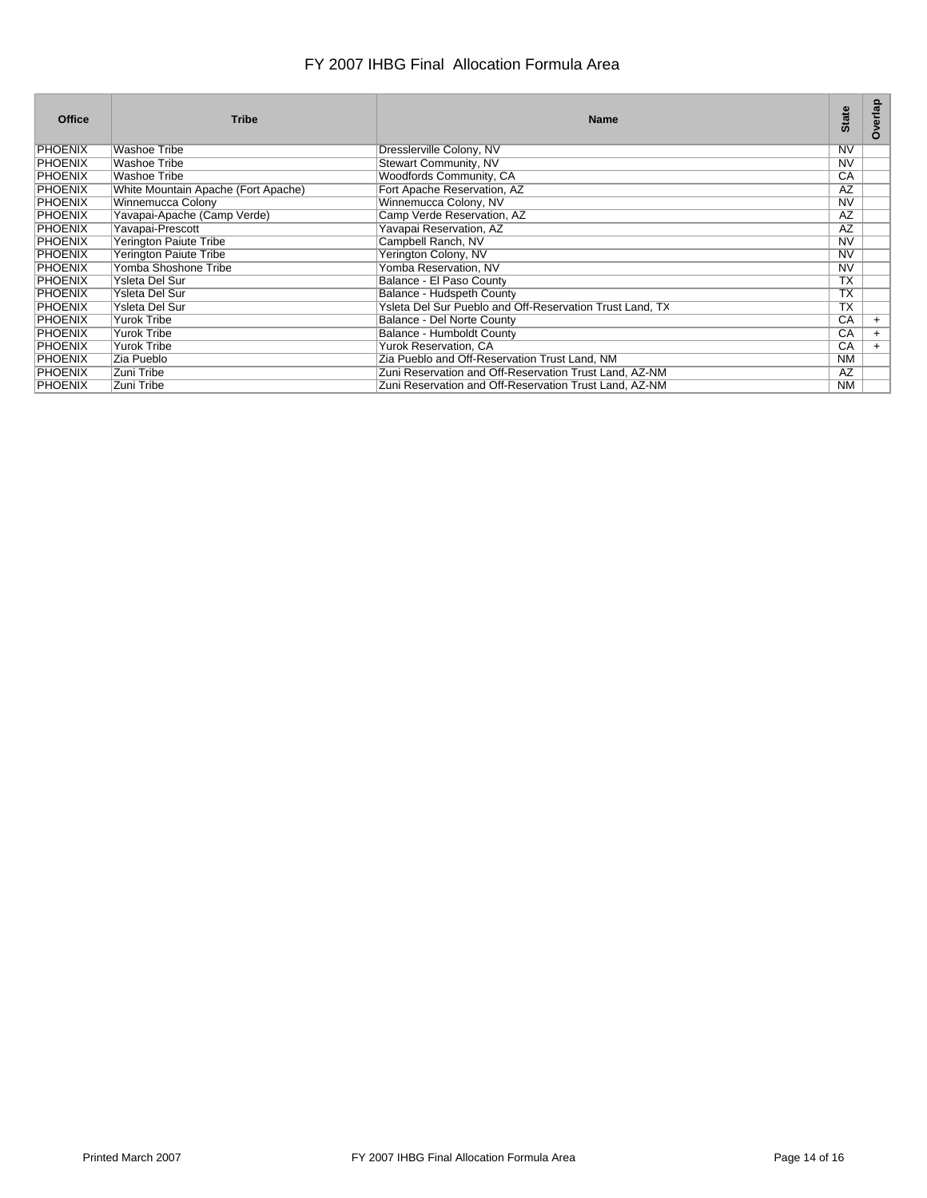| <b>Office</b>  | <b>Tribe</b>                        | <b>Name</b>                                              | <b>State</b>   | Overlap |
|----------------|-------------------------------------|----------------------------------------------------------|----------------|---------|
| PHOENIX        | <b>Washoe Tribe</b>                 | Dresslerville Colony, NV                                 | <b>NV</b>      |         |
| <b>PHOENIX</b> | <b>Washoe Tribe</b>                 | Stewart Community, NV                                    | <b>NV</b>      |         |
| PHOENIX        | <b>Washoe Tribe</b>                 | Woodfords Community, CA                                  | CA             |         |
| <b>PHOENIX</b> | White Mountain Apache (Fort Apache) | Fort Apache Reservation, AZ                              | AZ             |         |
| <b>PHOENIX</b> | Winnemucca Colony                   | Winnemucca Colony, NV                                    | N <sub>V</sub> |         |
| <b>PHOENIX</b> | Yavapai-Apache (Camp Verde)         | Camp Verde Reservation, AZ                               | AZ             |         |
| PHOENIX        | Yavapai-Prescott                    | Yavapai Reservation, AZ                                  | AZ             |         |
| PHOENIX        | Yerington Paiute Tribe              | Campbell Ranch, NV                                       | <b>NV</b>      |         |
| <b>PHOENIX</b> | <b>Yerington Paiute Tribe</b>       | Yerington Colony, NV                                     | <b>NV</b>      |         |
| <b>PHOENIX</b> | Yomba Shoshone Tribe                | Yomba Reservation, NV                                    | <b>NV</b>      |         |
| PHOENIX        | Ysleta Del Sur                      | Balance - El Paso County                                 | <b>TX</b>      |         |
| <b>PHOENIX</b> | Ysleta Del Sur                      | Balance - Hudspeth County                                | <b>TX</b>      |         |
| PHOENIX        | Ysleta Del Sur                      | Ysleta Del Sur Pueblo and Off-Reservation Trust Land, TX | <b>TX</b>      |         |
| PHOENIX        | Yurok Tribe                         | Balance - Del Norte County                               | CA             | $+$     |
| <b>PHOENIX</b> | Yurok Tribe                         | Balance - Humboldt County                                | CA             | $+$     |
| <b>PHOENIX</b> | Yurok Tribe                         | Yurok Reservation, CA                                    | CA             | $+$     |
| PHOENIX        | Zia Pueblo                          | Zia Pueblo and Off-Reservation Trust Land, NM            | <b>NM</b>      |         |
| PHOENIX        | Zuni Tribe                          | Zuni Reservation and Off-Reservation Trust Land, AZ-NM   | AZ             |         |
| <b>PHOENIX</b> | Zuni Tribe                          | Zuni Reservation and Off-Reservation Trust Land, AZ-NM   | <b>NM</b>      |         |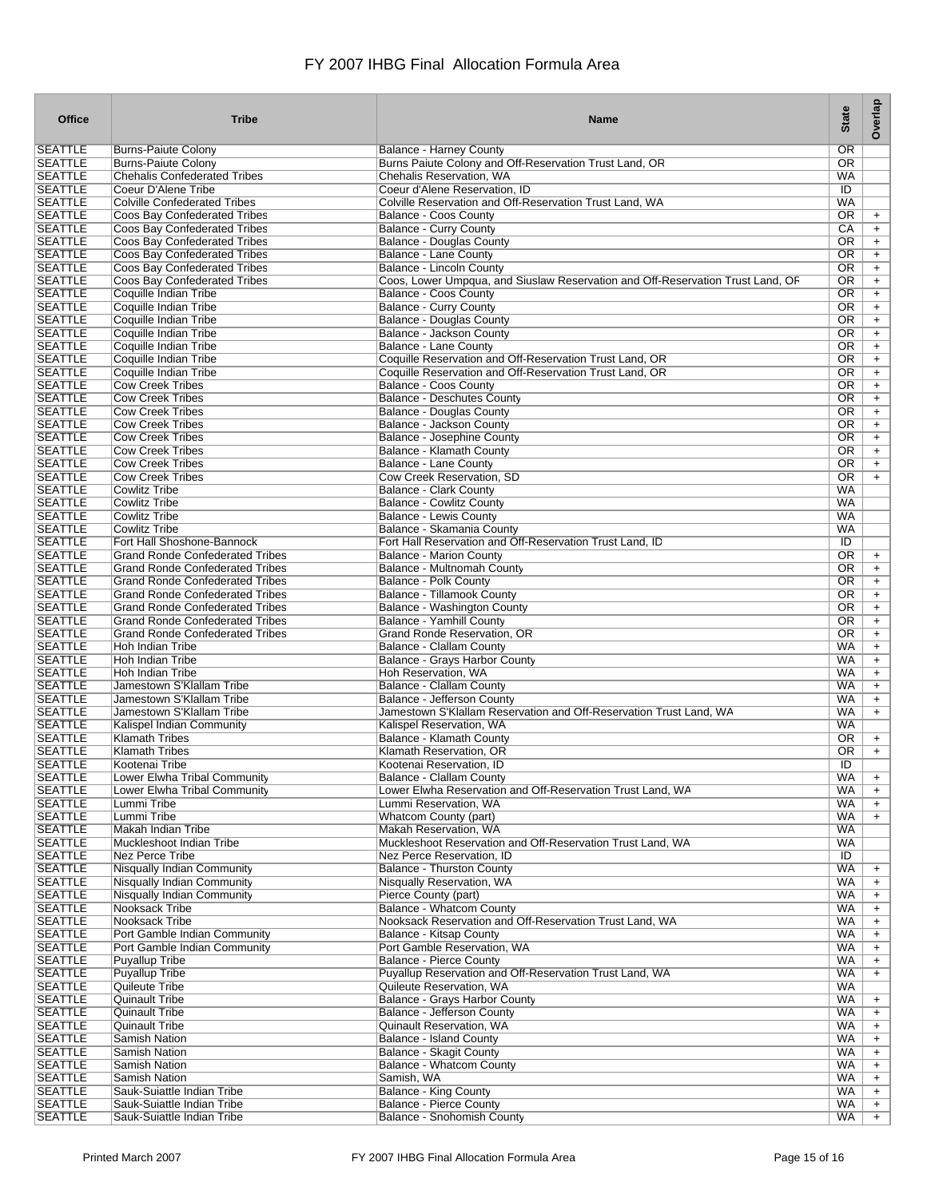| <b>Office</b>                    | <b>Tribe</b>                                                                     | <b>Name</b>                                                                                | <b>State</b>           | Overlap                |
|----------------------------------|----------------------------------------------------------------------------------|--------------------------------------------------------------------------------------------|------------------------|------------------------|
| <b>SEATTLE</b>                   | <b>Burns-Paiute Colony</b>                                                       | <b>Balance - Harney County</b>                                                             | OR                     |                        |
| <b>SEATTLE</b>                   | <b>Burns-Paiute Colony</b>                                                       | Burns Paiute Colony and Off-Reservation Trust Land, OR                                     | OR                     |                        |
| <b>SEATTLE</b>                   | <b>Chehalis Confederated Tribes</b>                                              | Chehalis Reservation, WA                                                                   | <b>WA</b>              |                        |
| <b>SEATTLE</b>                   | Coeur D'Alene Tribe                                                              | Coeur d'Alene Reservation, ID                                                              | ID                     |                        |
| <b>SEATTLE</b><br><b>SEATTLE</b> | <b>Colville Confederated Tribes</b><br>Coos Bay Confederated Tribes              | Colville Reservation and Off-Reservation Trust Land, WA<br>Balance - Coos County           | <b>WA</b><br>OR.       | $\ddot{}$              |
| <b>SEATTLE</b>                   | Coos Bay Confederated Tribes                                                     | Balance - Curry County                                                                     | СA                     | $\ddot{}$              |
| <b>SEATTLE</b>                   | Coos Bay Confederated Tribes                                                     | Balance - Douglas County                                                                   | OR.                    | $\ddot{}$              |
| <b>SEATTLE</b>                   | Coos Bay Confederated Tribes                                                     | Balance - Lane County                                                                      | 0R                     | $\ddot{}$              |
| <b>SEATTLE</b>                   | Coos Bay Confederated Tribes                                                     | Balance - Lincoln County                                                                   | OR.                    | $\ddot{}$              |
| <b>SEATTLE</b>                   | Coos Bay Confederated Tribes                                                     | Coos, Lower Umpqua, and Siuslaw Reservation and Off-Reservation Trust Land, OF             | OR.                    | $\ddot{}$              |
| <b>SEATTLE</b>                   | Coquille Indian Tribe                                                            | Balance - Coos County                                                                      | OR                     | $\ddot{}$              |
| <b>SEATTLE</b><br><b>SEATTLE</b> | Coquille Indian Tribe<br>Coquille Indian Tribe                                   | <b>Balance - Curry County</b><br>Balance - Douglas County                                  | OR.<br>OR              | $\ddot{}$<br>$\ddot{}$ |
| <b>SEATTLE</b>                   | Coquille Indian Tribe                                                            | Balance - Jackson County                                                                   | OR                     | $\ddot{}$              |
| <b>SEATTLE</b>                   | Coquille Indian Tribe                                                            | Balance - Lane County                                                                      | OR.                    | $\ddot{}$              |
| <b>SEATTLE</b>                   | Coquille Indian Tribe                                                            | Coquille Reservation and Off-Reservation Trust Land, OR                                    | OR.                    | $\ddot{}$              |
| <b>SEATTLE</b>                   | Coquille Indian Tribe                                                            | Coquille Reservation and Off-Reservation Trust Land, OR                                    | OR.                    | $\ddot{}$              |
| <b>SEATTLE</b>                   | <b>Cow Creek Tribes</b>                                                          | Balance - Coos County                                                                      | OR.                    | $\ddot{}$              |
| <b>SEATTLE</b>                   | <b>Cow Creek Tribes</b>                                                          | <b>Balance - Deschutes County</b>                                                          | OR.                    | $+$                    |
| <b>SEATTLE</b>                   | <b>Cow Creek Tribes</b>                                                          | <b>Balance - Douglas County</b>                                                            | <b>OR</b>              | $\ddot{}$              |
| <b>SEATTLE</b><br><b>SEATTLE</b> | <b>Cow Creek Tribes</b>                                                          | Balance - Jackson County<br>Balance - Josephine County                                     | OR.<br>OR              | $\ddot{}$              |
| <b>SEATTLE</b>                   | <b>Cow Creek Tribes</b><br><b>Cow Creek Tribes</b>                               | Balance - Klamath County                                                                   | OR                     | $\ddot{}$<br>$\ddot{}$ |
| <b>SEATTLE</b>                   | <b>Cow Creek Tribes</b>                                                          | <b>Balance - Lane County</b>                                                               | 0R                     | $+$                    |
| <b>SEATTLE</b>                   | <b>Cow Creek Tribes</b>                                                          | Cow Creek Reservation, SD                                                                  | 0R                     | $\ddot{}$              |
| <b>SEATTLE</b>                   | <b>Cowlitz Tribe</b>                                                             | <b>Balance - Clark County</b>                                                              | <b>WA</b>              |                        |
| <b>SEATTLE</b>                   | <b>Cowlitz Tribe</b>                                                             | <b>Balance - Cowlitz County</b>                                                            | <b>WA</b>              |                        |
| <b>SEATTLE</b>                   | <b>Cowlitz Tribe</b>                                                             | Balance - Lewis County                                                                     | <b>WA</b>              |                        |
| <b>SEATTLE</b>                   | <b>Cowlitz Tribe</b>                                                             | Balance - Skamania County                                                                  | WA                     |                        |
| <b>SEATTLE</b>                   | Fort Hall Shoshone-Bannock                                                       | Fort Hall Reservation and Off-Reservation Trust Land, ID                                   | ID                     |                        |
| <b>SEATTLE</b><br><b>SEATTLE</b> | <b>Grand Ronde Confederated Tribes</b><br><b>Grand Ronde Confederated Tribes</b> | <b>Balance - Marion County</b>                                                             | OR<br>OR.              | $\ddot{}$              |
| <b>SEATTLE</b>                   | <b>Grand Ronde Confederated Tribes</b>                                           | Balance - Multnomah County<br>Balance - Polk County                                        | 0R                     | $\ddot{}$<br>$\ddot{}$ |
| <b>SEATTLE</b>                   | <b>Grand Ronde Confederated Tribes</b>                                           | Balance - Tillamook County                                                                 | OR.                    | $\ddot{}$              |
| <b>SEATTLE</b>                   | <b>Grand Ronde Confederated Tribes</b>                                           | Balance - Washington County                                                                | OR.                    | $\ddot{}$              |
| <b>SEATTLE</b>                   | <b>Grand Ronde Confederated Tribes</b>                                           | Balance - Yamhill County                                                                   | OR.                    | $\ddot{}$              |
| <b>SEATTLE</b>                   | <b>Grand Ronde Confederated Tribes</b>                                           | Grand Ronde Reservation, OR                                                                | OR.                    | $\ddot{}$              |
| <b>SEATTLE</b>                   | Hoh Indian Tribe                                                                 | Balance - Clallam County                                                                   | WA                     | $\ddot{}$              |
| <b>SEATTLE</b>                   | Hoh Indian Tribe                                                                 | Balance - Grays Harbor County                                                              | WA                     | $\ddot{}$              |
| <b>SEATTLE</b><br><b>SEATTLE</b> | Hoh Indian Tribe<br>Jamestown S'Klallam Tribe                                    | Hoh Reservation, WA                                                                        | <b>WA</b><br>WA        | $\ddot{}$              |
| <b>SEATTLE</b>                   | Jamestown S'Klallam Tribe                                                        | Balance - Clallam County<br>Balance - Jefferson County                                     | <b>WA</b>              | $\ddot{}$<br>$\ddot{}$ |
| <b>SEATTLE</b>                   | Jamestown S'Klallam Tribe                                                        | Jamestown S'Klallam Reservation and Off-Reservation Trust Land, WA                         | <b>WA</b>              | $\ddot{}$              |
| <b>SEATTLE</b>                   | Kalispel Indian Community                                                        | Kalispel Reservation, WA                                                                   | <b>WA</b>              |                        |
| <b>SEATTLE</b>                   | <b>Klamath Tribes</b>                                                            | Balance - Klamath County                                                                   | <b>OR</b>              | $\ddot{}$              |
| <b>SEATTLE</b>                   | <b>Klamath Tribes</b>                                                            | Klamath Reservation, OR                                                                    | OR.                    | $\ddot{}$              |
| <b>SEATTLE</b>                   | Kootenai Tribe                                                                   | Kootenai Reservation. ID                                                                   | ID                     |                        |
| SEATTLE                          | Lower Elwha Tribal Community                                                     | Balance - Clallam County                                                                   | WA.                    | $\ddot{}$              |
| <b>SEATTLE</b><br><b>SEATTLE</b> | Lower Elwha Tribal Community<br>Lummi Tribe                                      | Lower Elwha Reservation and Off-Reservation Trust Land, WA<br>Lummi Reservation, WA        | <b>WA</b><br><b>WA</b> | $+$                    |
| <b>SEATTLE</b>                   | Lummi Tribe                                                                      | Whatcom County (part)                                                                      | WA                     | $+$<br>$+$             |
| <b>SEATTLE</b>                   | Makah Indian Tribe                                                               | Makah Reservation, WA                                                                      | <b>WA</b>              |                        |
| <b>SEATTLE</b>                   | Muckleshoot Indian Tribe                                                         | Muckleshoot Reservation and Off-Reservation Trust Land, WA                                 | <b>WA</b>              |                        |
| <b>SEATTLE</b>                   | <b>Nez Perce Tribe</b>                                                           | Nez Perce Reservation. ID                                                                  | ID                     |                        |
| <b>SEATTLE</b>                   | Nisqually Indian Community                                                       | <b>Balance - Thurston County</b>                                                           | <b>WA</b>              | $+$                    |
| <b>SEATTLE</b>                   | Nisqually Indian Community                                                       | Nisqually Reservation, WA                                                                  | WA                     | $+$                    |
| <b>SEATTLE</b>                   | Nisqually Indian Community                                                       | Pierce County (part)                                                                       | <b>WA</b>              | $+$                    |
| <b>SEATTLE</b><br><b>SEATTLE</b> | Nooksack Tribe<br><b>Nooksack Tribe</b>                                          | <b>Balance - Whatcom County</b><br>Nooksack Reservation and Off-Reservation Trust Land, WA | <b>WA</b><br><b>WA</b> | $+$                    |
| <b>SEATTLE</b>                   | Port Gamble Indian Community                                                     | Balance - Kitsap County                                                                    | <b>WA</b>              | $+$<br>$+$             |
| <b>SEATTLE</b>                   | Port Gamble Indian Community                                                     | Port Gamble Reservation, WA                                                                | WA                     | $+$                    |
| <b>SEATTLE</b>                   | <b>Puyallup Tribe</b>                                                            | <b>Balance - Pierce County</b>                                                             | WA.                    | $\ddot{}$              |
| <b>SEATTLE</b>                   | <b>Puyallup Tribe</b>                                                            | Puyallup Reservation and Off-Reservation Trust Land, WA                                    | <b>WA</b>              | $\ddot{}$              |
| <b>SEATTLE</b>                   | Quileute Tribe                                                                   | Quileute Reservation, WA                                                                   | <b>WA</b>              |                        |
| <b>SEATTLE</b>                   | <b>Quinault Tribe</b>                                                            | <b>Balance - Grays Harbor County</b>                                                       | <b>WA</b>              | $+$                    |
| <b>SEATTLE</b>                   | <b>Quinault Tribe</b>                                                            | Balance - Jefferson County                                                                 | <b>WA</b>              | $+$                    |
| <b>SEATTLE</b>                   | <b>Quinault Tribe</b>                                                            | Quinault Reservation, WA                                                                   | <b>WA</b>              | $+$                    |
| <b>SEATTLE</b><br><b>SEATTLE</b> | Samish Nation<br>Samish Nation                                                   | Balance - Island County<br><b>Balance - Skagit County</b>                                  | WA<br>WA               | $+$<br>$+$             |
| <b>SEATTLE</b>                   | <b>Samish Nation</b>                                                             | <b>Balance - Whatcom County</b>                                                            | <b>WA</b>              | $\ddot{}$              |
| <b>SEATTLE</b>                   | Samish Nation                                                                    | Samish, WA                                                                                 | WA                     | $\ddot{}$              |
| <b>SEATTLE</b>                   | Sauk-Suiattle Indian Tribe                                                       | <b>Balance - King County</b>                                                               | <b>WA</b>              | $+$                    |
| <b>SEATTLE</b>                   | Sauk-Suiattle Indian Tribe                                                       | <b>Balance - Pierce County</b>                                                             | WA                     | $+$                    |
| <b>SEATTLE</b>                   | Sauk-Suiattle Indian Tribe                                                       | <b>Balance - Snohomish County</b>                                                          | <b>WA</b>              | $+$                    |